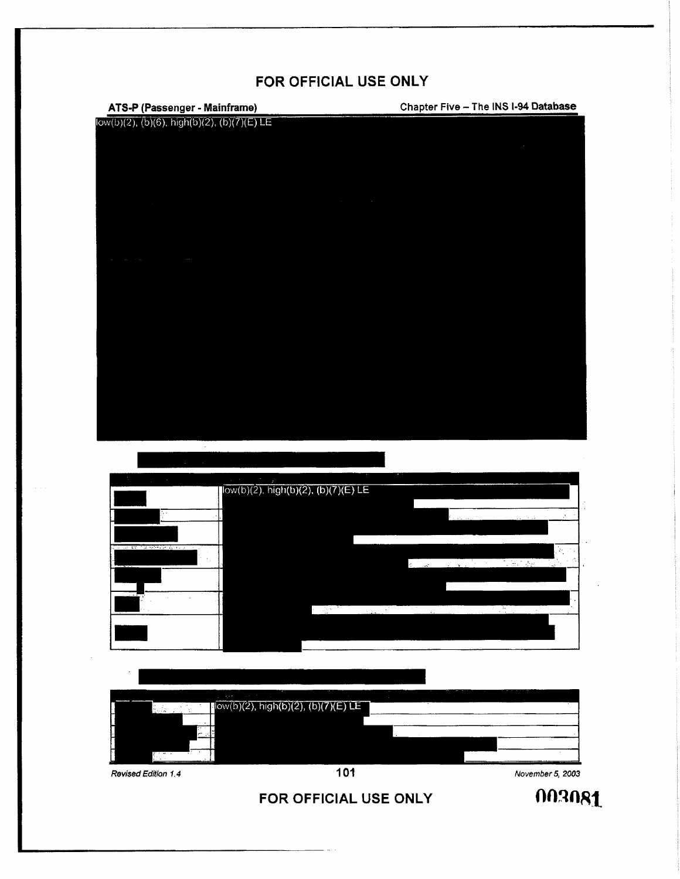

#### Chapter Five - The INS I-94 Database

 $\text{low(b)}(2)$ , (b)(6), high(b)(2), (b)(7)(E) LE

 $\vert \text{low(b)}(2), \text{high(b)}(2), \text{(b)}(7)(E) \text{ LE} \vert$ 



FOR OFFICIAL USE ONLY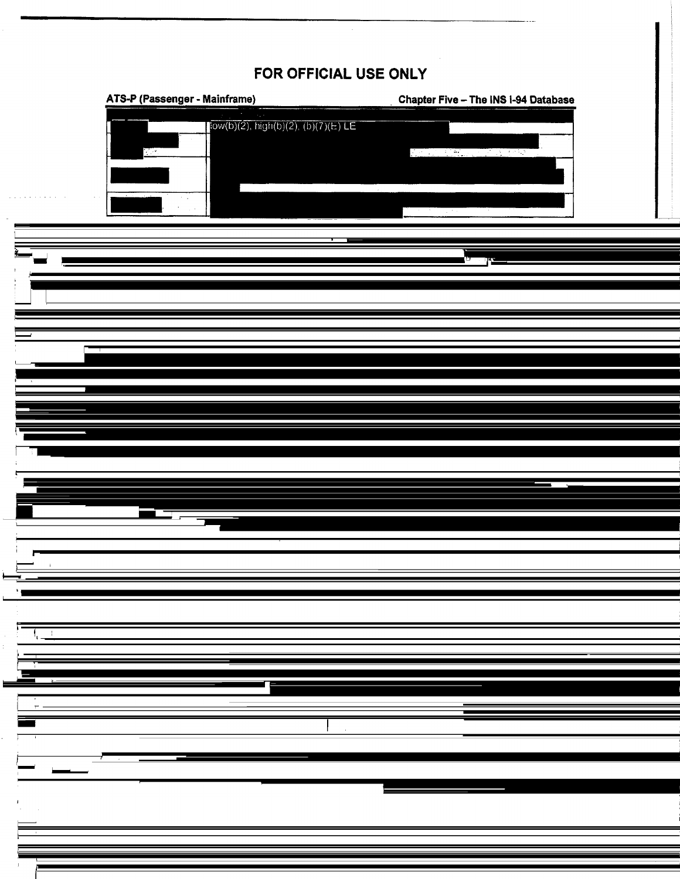#### **COD OCCIOIAL LICE ONLY**

| <b>FUR UFFIUIAL USE UNLT</b>          |                                                                                                                                                                                                                                 |                                                                                 |  |  |  |  |
|---------------------------------------|---------------------------------------------------------------------------------------------------------------------------------------------------------------------------------------------------------------------------------|---------------------------------------------------------------------------------|--|--|--|--|
|                                       | ATS-P (Passenger - Mainframe)                                                                                                                                                                                                   | <b>Chapter Five - The INS I-94 Database</b>                                     |  |  |  |  |
|                                       | $\frac{1}{2}$ (ow(b)(2), high(b)(2), (b)(7)(E) LE                                                                                                                                                                               |                                                                                 |  |  |  |  |
|                                       |                                                                                                                                                                                                                                 |                                                                                 |  |  |  |  |
|                                       | $\sim 10^6$                                                                                                                                                                                                                     | <u> Parti de l'August de l'A</u>                                                |  |  |  |  |
|                                       |                                                                                                                                                                                                                                 |                                                                                 |  |  |  |  |
|                                       |                                                                                                                                                                                                                                 |                                                                                 |  |  |  |  |
|                                       |                                                                                                                                                                                                                                 | $\sim$                                                                          |  |  |  |  |
|                                       |                                                                                                                                                                                                                                 |                                                                                 |  |  |  |  |
|                                       |                                                                                                                                                                                                                                 |                                                                                 |  |  |  |  |
|                                       |                                                                                                                                                                                                                                 |                                                                                 |  |  |  |  |
|                                       |                                                                                                                                                                                                                                 |                                                                                 |  |  |  |  |
|                                       |                                                                                                                                                                                                                                 |                                                                                 |  |  |  |  |
|                                       |                                                                                                                                                                                                                                 |                                                                                 |  |  |  |  |
|                                       |                                                                                                                                                                                                                                 |                                                                                 |  |  |  |  |
|                                       |                                                                                                                                                                                                                                 |                                                                                 |  |  |  |  |
|                                       |                                                                                                                                                                                                                                 |                                                                                 |  |  |  |  |
|                                       |                                                                                                                                                                                                                                 |                                                                                 |  |  |  |  |
|                                       |                                                                                                                                                                                                                                 |                                                                                 |  |  |  |  |
|                                       |                                                                                                                                                                                                                                 |                                                                                 |  |  |  |  |
|                                       |                                                                                                                                                                                                                                 |                                                                                 |  |  |  |  |
|                                       |                                                                                                                                                                                                                                 |                                                                                 |  |  |  |  |
|                                       |                                                                                                                                                                                                                                 |                                                                                 |  |  |  |  |
|                                       |                                                                                                                                                                                                                                 |                                                                                 |  |  |  |  |
|                                       |                                                                                                                                                                                                                                 |                                                                                 |  |  |  |  |
|                                       |                                                                                                                                                                                                                                 |                                                                                 |  |  |  |  |
|                                       |                                                                                                                                                                                                                                 |                                                                                 |  |  |  |  |
|                                       |                                                                                                                                                                                                                                 | <u> 1989 - Andrea Andrew Maria (h. 1989).</u><br>1980 - Andrew Maria (h. 1980). |  |  |  |  |
|                                       |                                                                                                                                                                                                                                 |                                                                                 |  |  |  |  |
|                                       |                                                                                                                                                                                                                                 |                                                                                 |  |  |  |  |
|                                       |                                                                                                                                                                                                                                 |                                                                                 |  |  |  |  |
| $\mathcal{L} \rightarrow \mathcal{L}$ |                                                                                                                                                                                                                                 |                                                                                 |  |  |  |  |
|                                       |                                                                                                                                                                                                                                 |                                                                                 |  |  |  |  |
|                                       |                                                                                                                                                                                                                                 |                                                                                 |  |  |  |  |
|                                       | , se estado de la construcción de la construcción de la construcción de la construcción de la construcción de<br>La construcción de la construcción de la construcción de la construcción de la construcción de la construcción |                                                                                 |  |  |  |  |
|                                       |                                                                                                                                                                                                                                 |                                                                                 |  |  |  |  |
|                                       |                                                                                                                                                                                                                                 |                                                                                 |  |  |  |  |
|                                       | <u>i standardi oli se oli se oli se oli se oli se oli se oli se oli se oli se oli se oli se oli se oli se oli se o</u>                                                                                                          |                                                                                 |  |  |  |  |
|                                       |                                                                                                                                                                                                                                 |                                                                                 |  |  |  |  |
|                                       |                                                                                                                                                                                                                                 |                                                                                 |  |  |  |  |
|                                       |                                                                                                                                                                                                                                 |                                                                                 |  |  |  |  |
|                                       |                                                                                                                                                                                                                                 |                                                                                 |  |  |  |  |
| $\overline{a}$                        |                                                                                                                                                                                                                                 |                                                                                 |  |  |  |  |
|                                       |                                                                                                                                                                                                                                 |                                                                                 |  |  |  |  |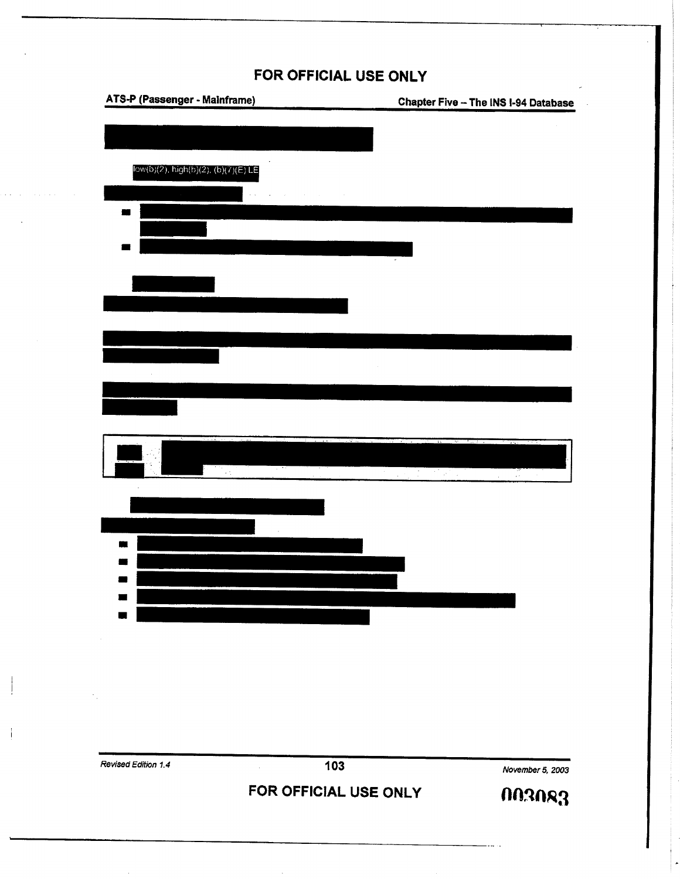$\ddotsc$ 

| ATS-P (Passenger - Mainframe)       |                       | <b>Chapter Five - The INS I-94 Database</b>                |
|-------------------------------------|-----------------------|------------------------------------------------------------|
|                                     |                       |                                                            |
| low(b)(2), high(b)(2), (b)(7)(E) LE |                       |                                                            |
|                                     |                       |                                                            |
| 鱼                                   |                       |                                                            |
|                                     |                       |                                                            |
|                                     |                       |                                                            |
|                                     |                       |                                                            |
|                                     |                       |                                                            |
|                                     |                       |                                                            |
|                                     |                       |                                                            |
|                                     |                       |                                                            |
|                                     |                       | -44                                                        |
| न<br>जन्म                           | राजा                  | $\overline{X}$<br>Ŧ<br>राज्यक<br>Ţ<br>$\sim 10^{-1}$<br>×. |
|                                     |                       |                                                            |
| ш                                   |                       |                                                            |
|                                     |                       |                                                            |
|                                     |                       |                                                            |
|                                     |                       |                                                            |
|                                     |                       |                                                            |
|                                     |                       |                                                            |
|                                     |                       |                                                            |
|                                     |                       |                                                            |
| Revised Edition 1.4                 | 103                   | November 5, 2003                                           |
|                                     | FOR OFFICIAL USE ONLY | 003083                                                     |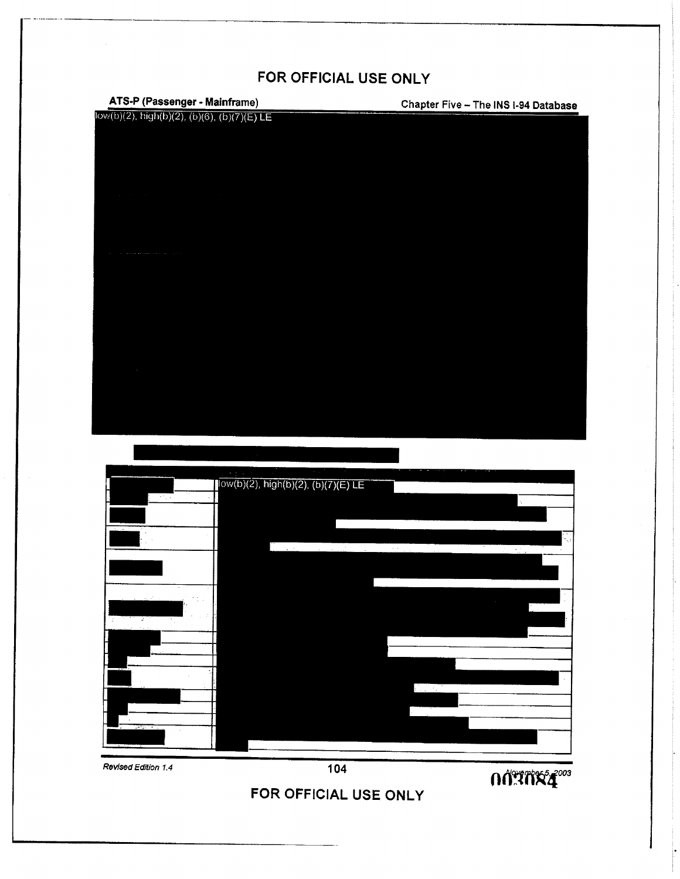

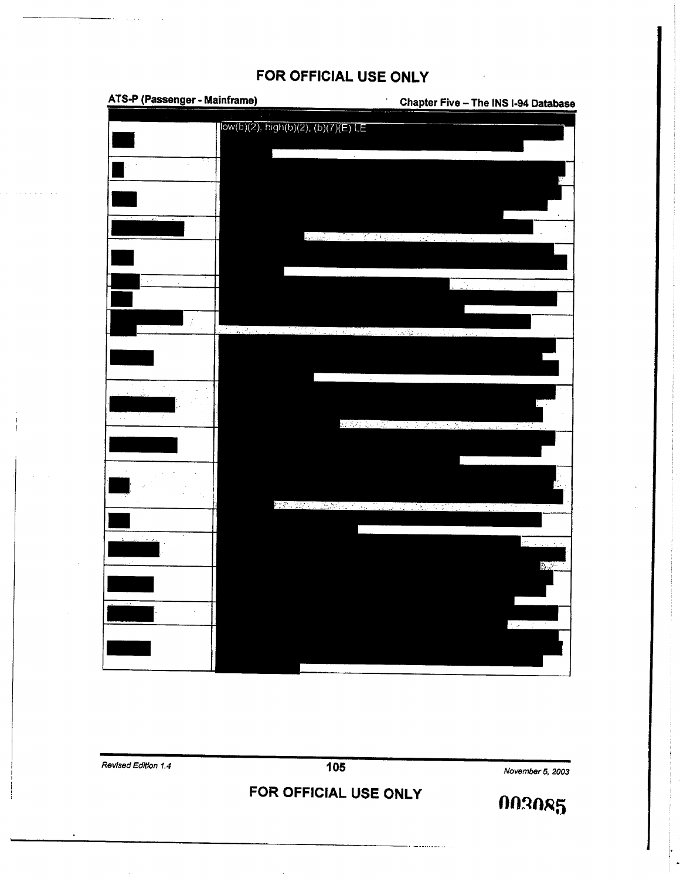| ATS-P (Passenger - Mainframe)                            | Chapter Five - The INS I-94 Database                                                                                                                                                                                                 |
|----------------------------------------------------------|--------------------------------------------------------------------------------------------------------------------------------------------------------------------------------------------------------------------------------------|
| $\overline{\text{low(b)}(2)}$ , high(b)(2), (b)(7)(E) LE |                                                                                                                                                                                                                                      |
|                                                          |                                                                                                                                                                                                                                      |
|                                                          |                                                                                                                                                                                                                                      |
|                                                          | Association of the Association of the<br>$\mathcal{A}_1$<br>R.                                                                                                                                                                       |
| $\sim$                                                   |                                                                                                                                                                                                                                      |
|                                                          | <u>Arthur Constitution of the Constitution of the Constitution of the Constitution of the Constitution of the Constitution of the Constitution of the Constitution of the Constitution of the Constitution of the Constitution o</u> |
|                                                          |                                                                                                                                                                                                                                      |
|                                                          |                                                                                                                                                                                                                                      |
|                                                          | <u>a Martin Monte Martin Martin Monte</u>                                                                                                                                                                                            |
|                                                          |                                                                                                                                                                                                                                      |
| والكائلين                                                | aya da ya Tara ya Kasance ya Kasance ya Kasance ya Kasance ya Kasance ya Kasance ya Kasance ya Kasance ya Kasa                                                                                                                       |
|                                                          | $\Delta \omega$                                                                                                                                                                                                                      |
|                                                          |                                                                                                                                                                                                                                      |
|                                                          | $\frac{1}{2}$ , $\frac{1}{2}$                                                                                                                                                                                                        |
|                                                          |                                                                                                                                                                                                                                      |

Revised Edition 1.4

 $\sim$   $\sim$   $\sim$ 

 $\bar{\lambda}$ 

. . . . .

 $\frac{1}{105}$ 

November 5, 2003

FOR OFFICIAL USE ONLY

. . . . . . . . . .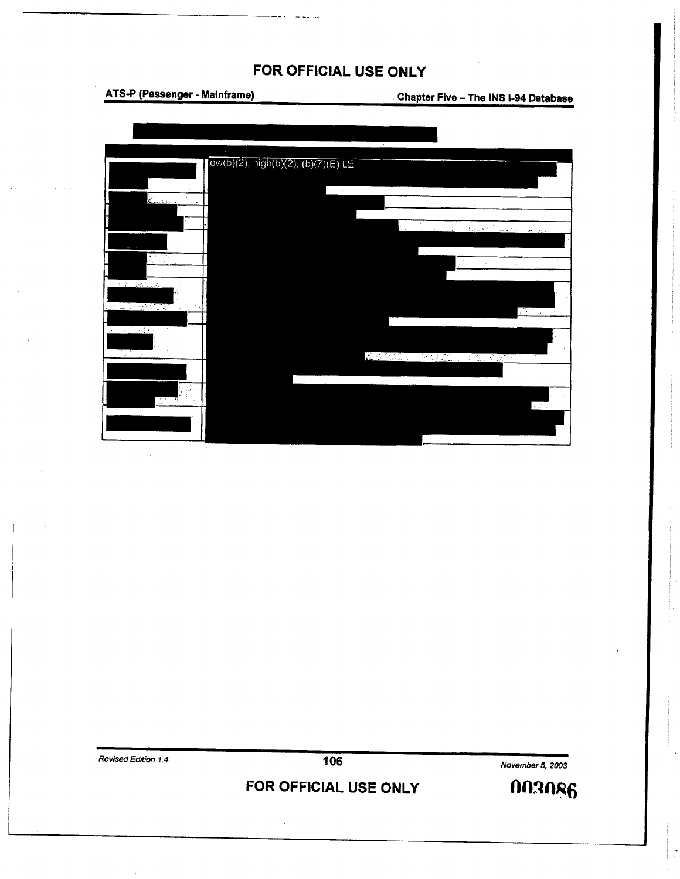ATS-P (Passenger - Mainframe)

Chapter Five - The INS I-94 Database



Revised Edition 1.4

 $106$ 

November 5, 2003

#### FOR OFFICIAL USE ONLY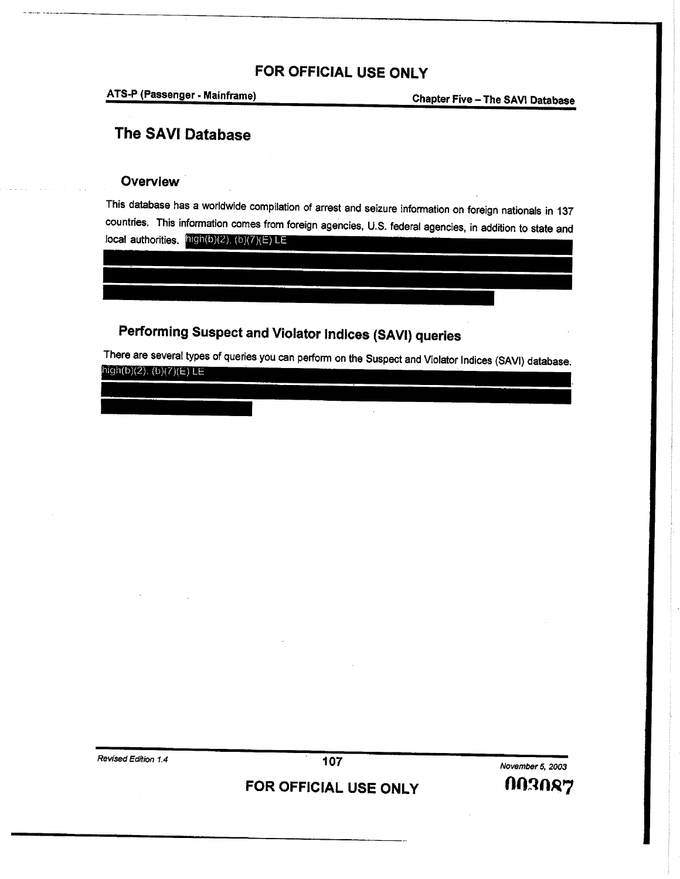#### The SAVI Database

#### Overview

This database has a worldwide compilation of arrest and seizure information on foreign nationals in 137 countries. This information comes from foreign agencies, U.S. federal agencies, in addition to state and local authorities. high(b)(2), (b)(7)(E) LE

#### Performing Suspect and Violator Indices (SAVI) queries

There are several types of queries you can perform on the Suspect and Violator Indices (SAVI) database.  $high(b)(2), (b)(7)(E)$  LE

Revised Edition 1.4

107

November 5, 2003 003087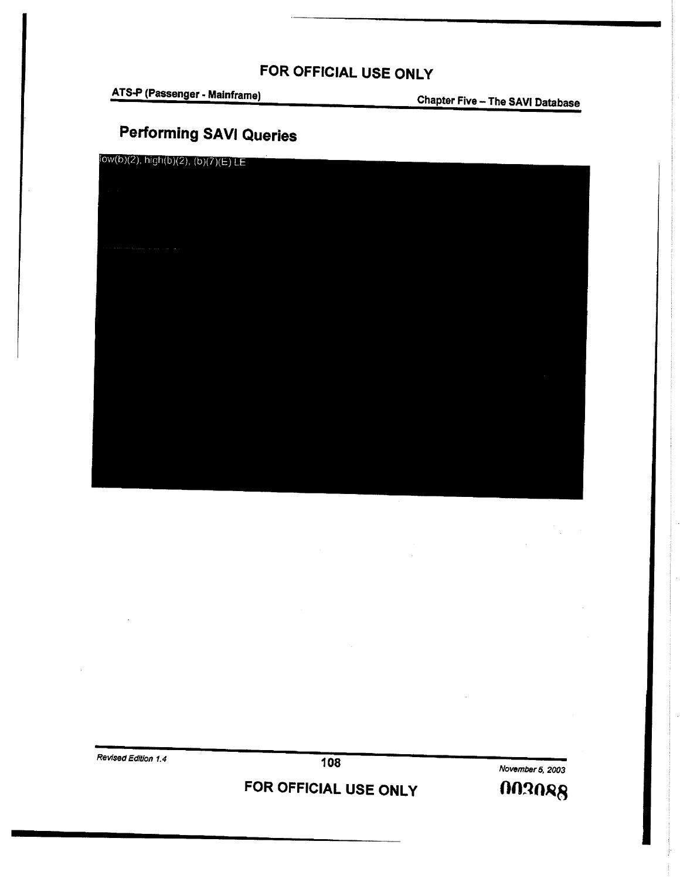ATS-P (Passenger - Mainframe)

**Chapter Five - The SAVI Database** 

### **Performing SAVI Queries**



Revised Edition 1.4

 $108$ 

November 5, 2003

#### FOR OFFICIAL USE ONLY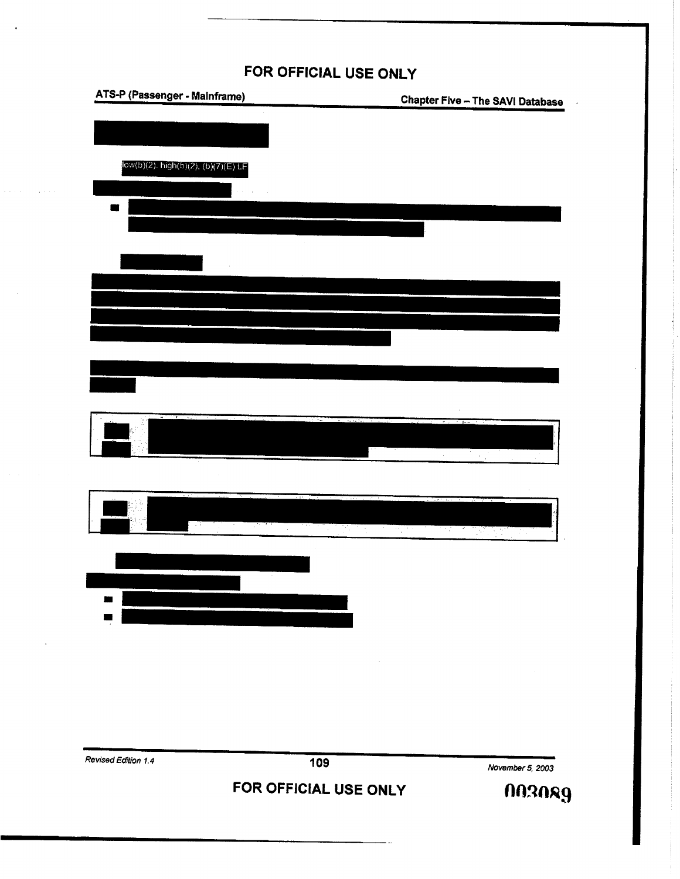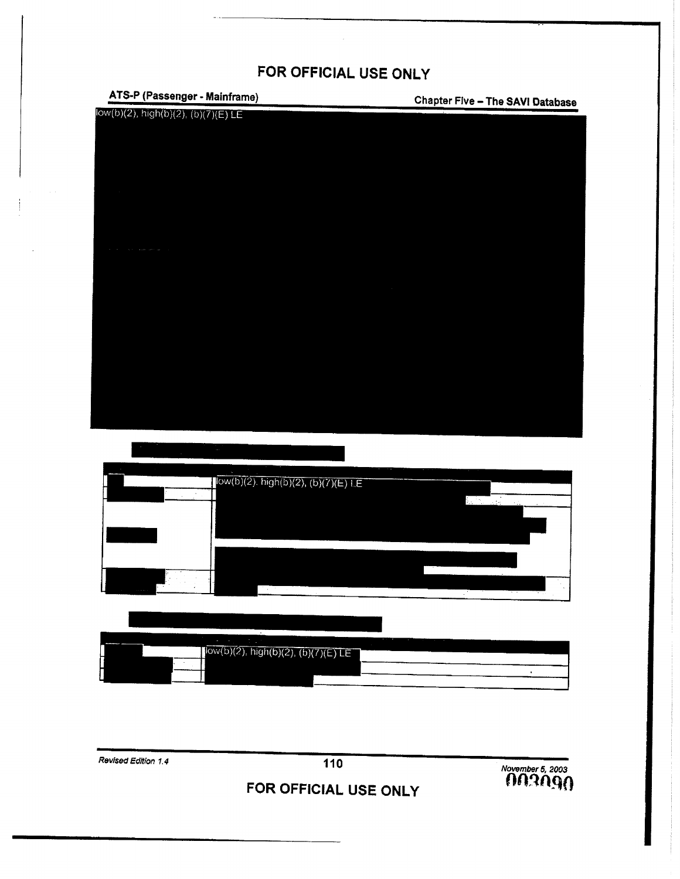



| low(b)(2), high(b)(2), (b)(7)(E) LE |  |
|-------------------------------------|--|
|                                     |  |
|                                     |  |
|                                     |  |





Revised Edition 1.4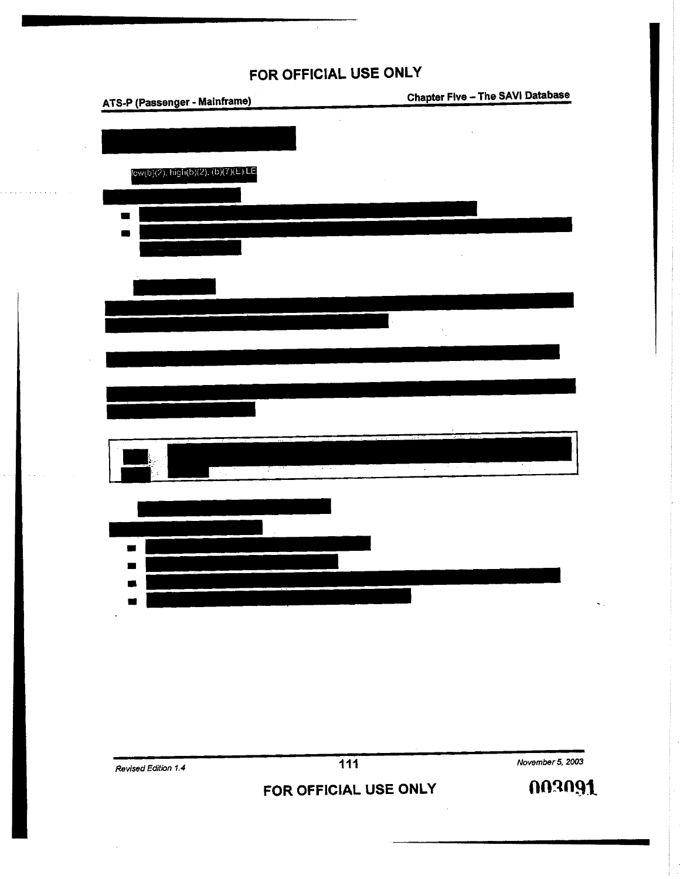| ATS-P (Passenger - Mainframe)                         | <b>Chapter Five - The SAVI Database</b>                         |
|-------------------------------------------------------|-----------------------------------------------------------------|
|                                                       |                                                                 |
|                                                       |                                                                 |
| $\text{low(b)}(2)$ , high(b)(2), (b)(7)(E) LE         |                                                                 |
|                                                       |                                                                 |
| $\blacksquare$                                        |                                                                 |
| ш                                                     |                                                                 |
| $\omega_{\rm{max}} = \omega_{\rm{max}}$               |                                                                 |
|                                                       |                                                                 |
|                                                       |                                                                 |
|                                                       |                                                                 |
|                                                       |                                                                 |
| $\sim$                                                |                                                                 |
|                                                       |                                                                 |
|                                                       |                                                                 |
|                                                       |                                                                 |
|                                                       | <b>Representative</b>                                           |
| $\alpha = \alpha$<br>17<br>$\mathcal{A}_{\text{max}}$ | Λ.<br>राष्ट्र का पानी<br>$\sim 200$<br><b>College</b><br>$\sim$ |
|                                                       |                                                                 |
|                                                       |                                                                 |
|                                                       |                                                                 |
| ▅                                                     |                                                                 |
|                                                       |                                                                 |
|                                                       |                                                                 |
|                                                       |                                                                 |
|                                                       |                                                                 |
|                                                       |                                                                 |
|                                                       |                                                                 |
|                                                       |                                                                 |

Revised Edition 1.4

 $\alpha$  ,  $\alpha$  ,  $\alpha$  ,  $\alpha$  ,  $\alpha$  ,  $\alpha$ 

 $\overline{111}$ 

November 5, 2003

#### FOR OFFICIAL USE ONLY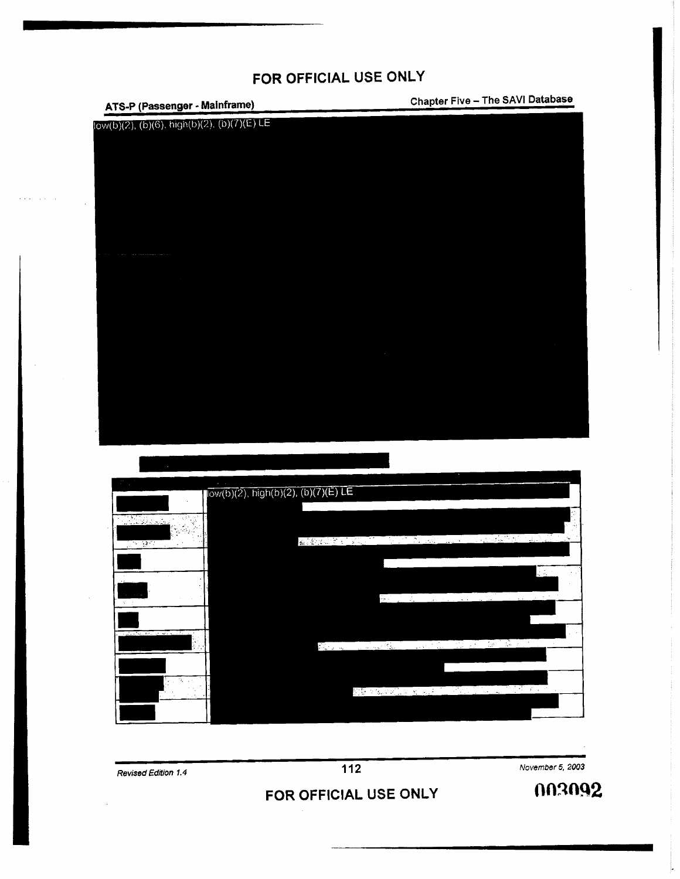

#### **Chapter Five - The SAVI Database**

low(b)(2), (b)(6), high(b)(2), (b)(7)(E) LE



Revised Edition 1.4

 $\overline{11}2$ 

November 5, 2003

#### 003092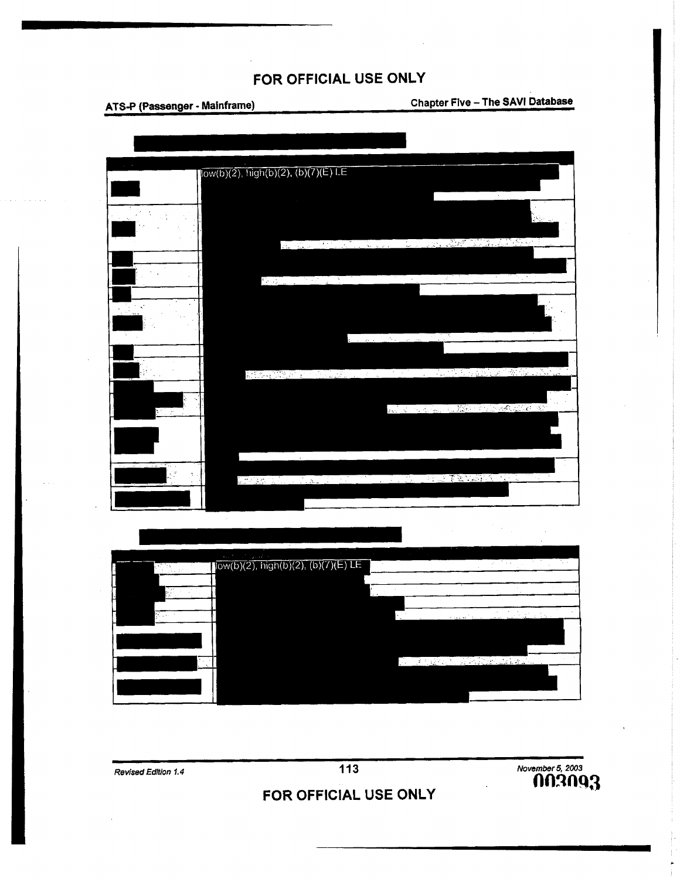ATS-P (Passenger - Mainframe)

**Chapter Five - The SAVI Database** 

|                    | $\frac{1}{2}$ (ow(b)(2), high(b)(2), (b)(7)(E) LE                      |                                                                                                                       |
|--------------------|------------------------------------------------------------------------|-----------------------------------------------------------------------------------------------------------------------|
|                    |                                                                        | $\sim$<br><u>a complete sport of the complete sport of the sta</u>                                                    |
| ٠.                 | $\mathcal{O}(\mathcal{A})$ , and the set of $\mathcal{O}(\mathcal{A})$ | $\sim$<br>TR, P<br>÷<br>$\sim$                                                                                        |
|                    | $\omega_{\rm c} = 100$ km s $^{-1}$                                    | पर<br>1. August 1820                                                                                                  |
|                    |                                                                        | <u> 1834 ya kati ya Julia ya Mareji ya Mareji ya Katifulia ya Mareji ya Mareji ya Mareji ya Mareji ya Mareji ya M</u> |
| - 97               |                                                                        | al de le la 1950 milione de la 196                                                                                    |
| tha ca<br>k).<br>K |                                                                        | <u>La Tarihiya (Alikari Martin Tarihiya ya Tanzania ya Tarihiya T</u>                                                 |



November 5, 2003<br> **MARAQ3** 

FOR OFFICIAL USE ONLY

 $\frac{1}{113}$ 

Revised Edition 1.4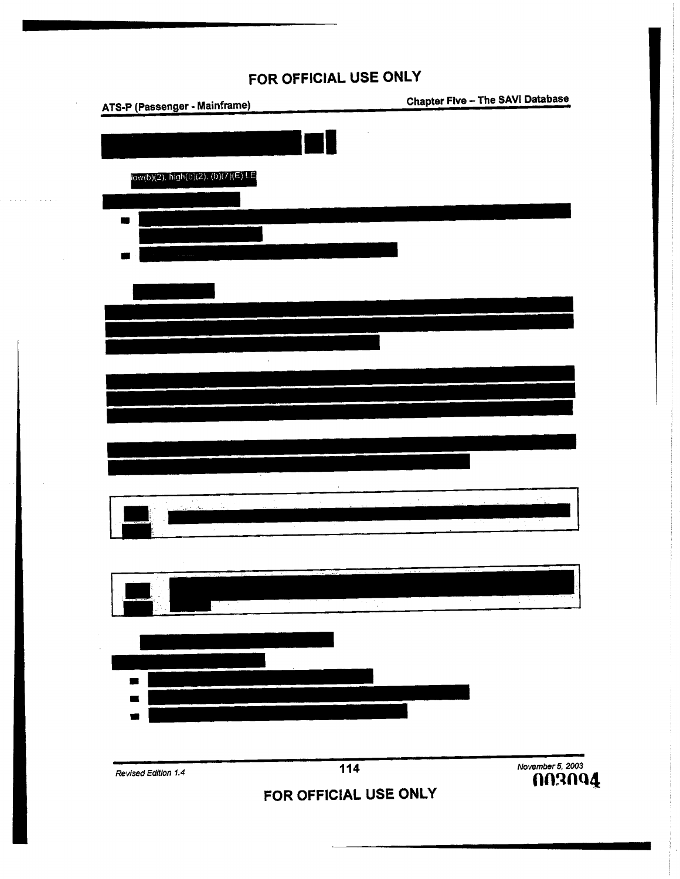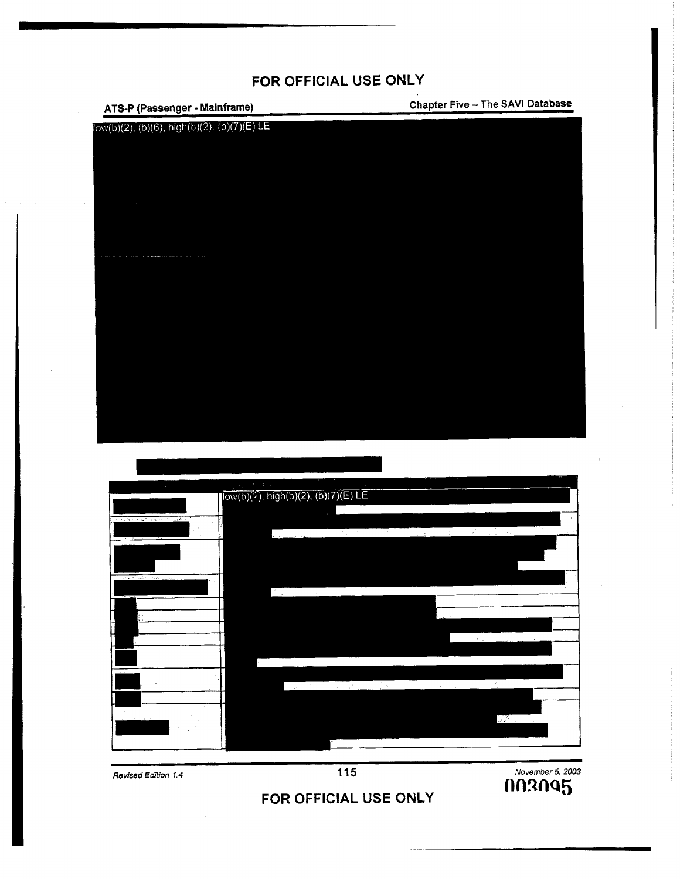ATS-P (Passenger - Mainframe)

#### **Chapter Five - The SAVI Database**

low(b)(2), (b)(6), high(b)(2), (b)(7)(E) LE



Revised Edition 1.4

 $\frac{1}{115}$ FOR OFFICIAL USE ONLY

November 5, 2003 003095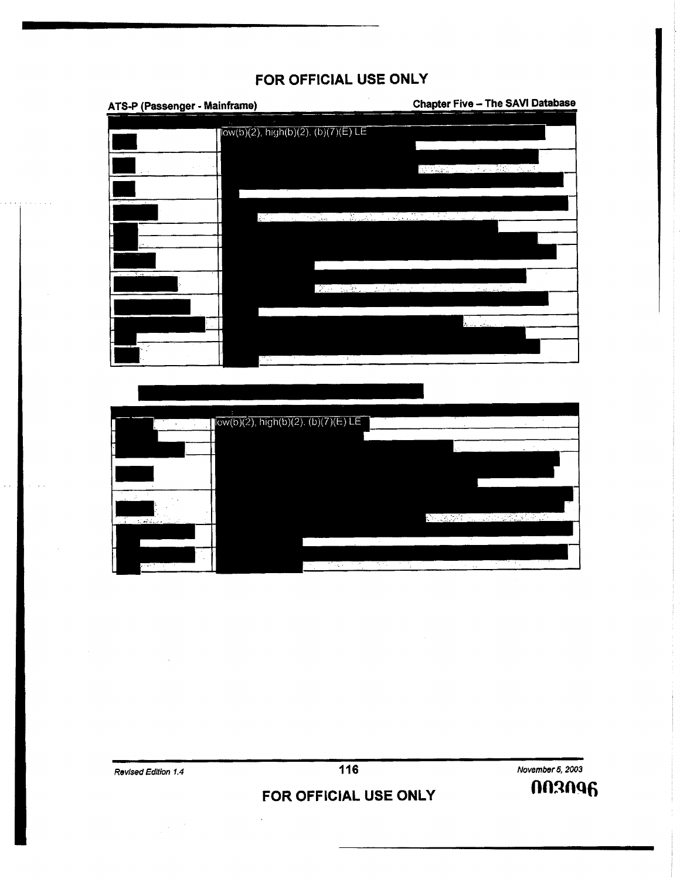| ATS-P (Passenger - Mainframe)                                 | Chapter Five - The SAVI Database                                                                                                                                                                                                     |
|---------------------------------------------------------------|--------------------------------------------------------------------------------------------------------------------------------------------------------------------------------------------------------------------------------------|
|                                                               |                                                                                                                                                                                                                                      |
| $\overline{\text{low(b)}(2)}$ , high(b)(2), (b)(7)(E) LE      |                                                                                                                                                                                                                                      |
|                                                               |                                                                                                                                                                                                                                      |
|                                                               | <u> Kanada (h. 1999).</u><br>Artista eta erritaria eta erritaria eta erritaria eta erritaria eta erritaria eta erritaria eta erritaria eta                                                                                           |
|                                                               |                                                                                                                                                                                                                                      |
|                                                               |                                                                                                                                                                                                                                      |
| <u>Alaman Marie Marie Alaman (</u>                            |                                                                                                                                                                                                                                      |
|                                                               |                                                                                                                                                                                                                                      |
|                                                               |                                                                                                                                                                                                                                      |
|                                                               |                                                                                                                                                                                                                                      |
| <b>The State Control</b>                                      |                                                                                                                                                                                                                                      |
|                                                               | <u> Participation of the contract of the contract of the contract of the contract of the contract of the contract of the contract of the contract of the contract of the contract of the contract of the contract of the contrac</u> |
|                                                               |                                                                                                                                                                                                                                      |
|                                                               |                                                                                                                                                                                                                                      |
|                                                               |                                                                                                                                                                                                                                      |
|                                                               |                                                                                                                                                                                                                                      |
| the company of the company of<br>المنتشر<br><b>Contractor</b> |                                                                                                                                                                                                                                      |



Revised Edition 1.4

November 5, 2003

003096

#### FOR OFFICIAL USE ONLY

 $\overline{116}$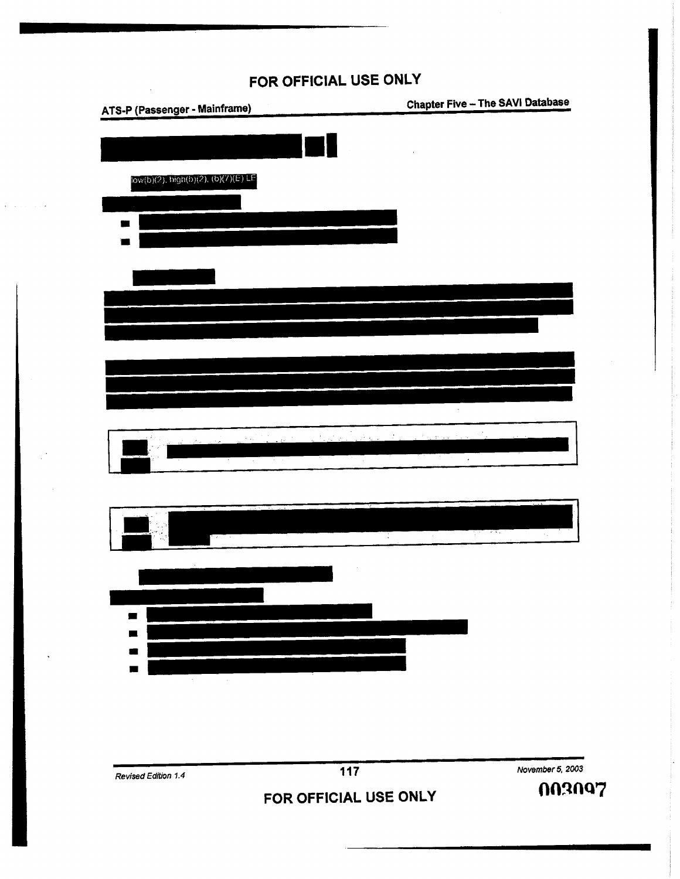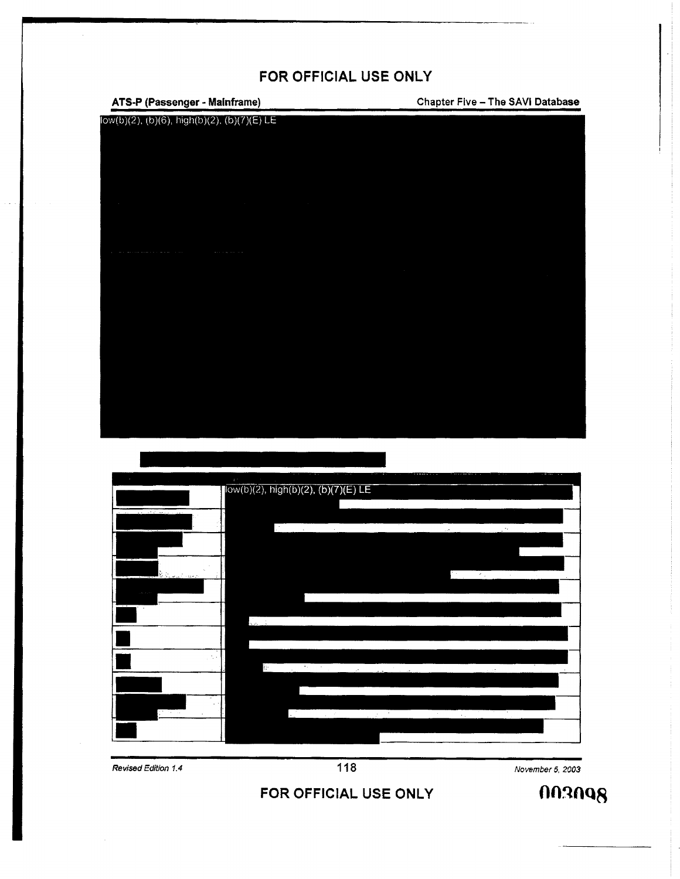



0o3nqg

 $\overline{low(b)(2)}$ , (b)(6), high(b)(2), (b)(7)(E) LE



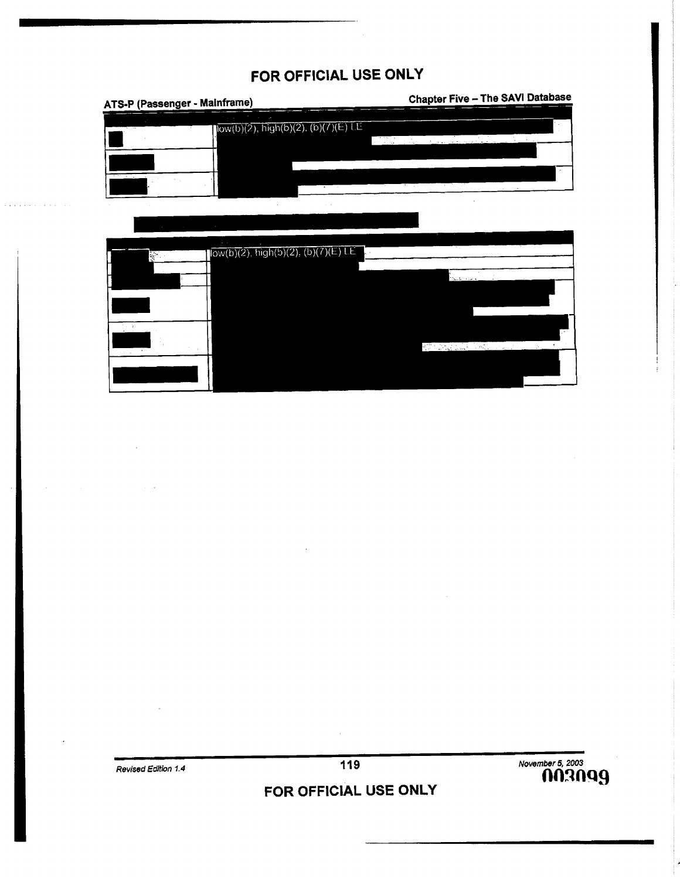

Revised Edition 1.4

November 5, 2003<br> **MARAQ9**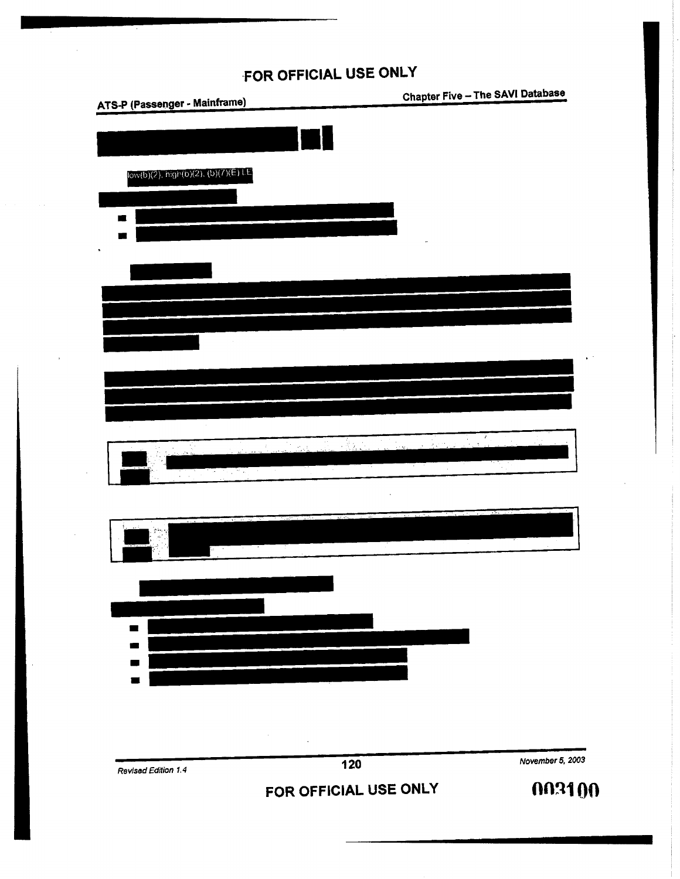

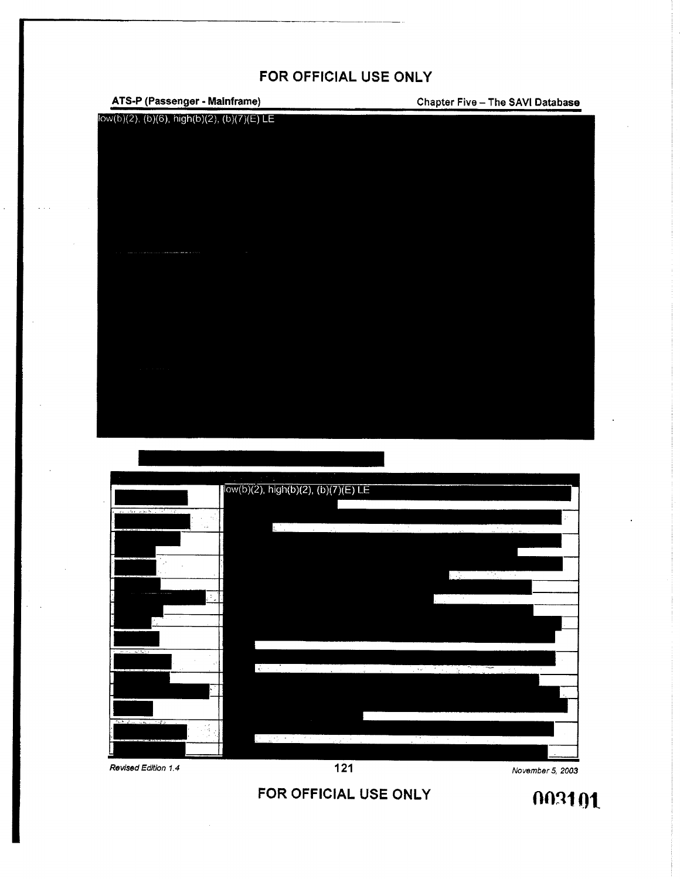



FOR OFFICIAL USE ONLY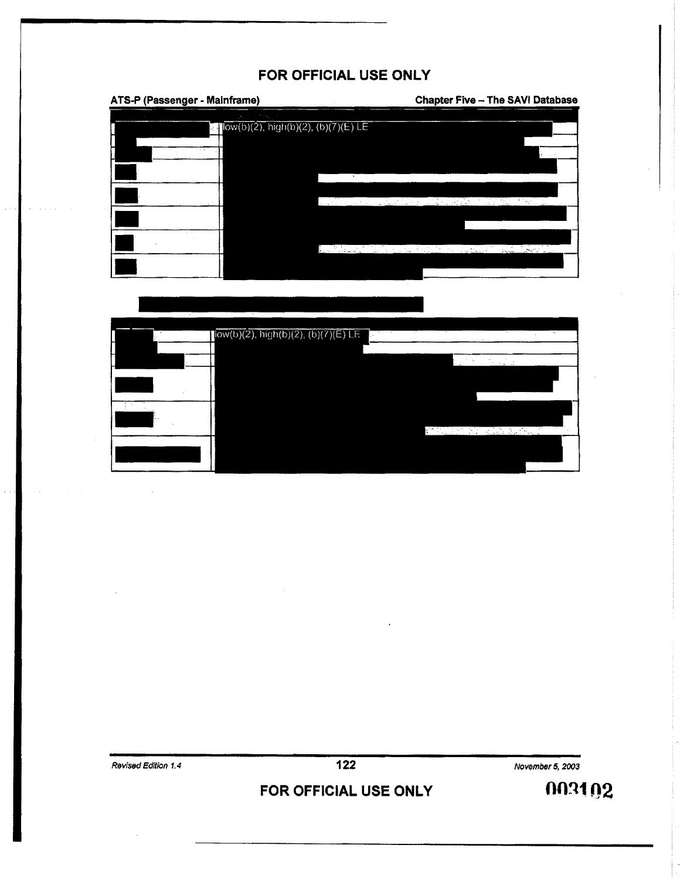



Revised Edition 1.4

 $\overline{122}$ 

November 5, 2003

#### FOR OFFICIAL USE ONLY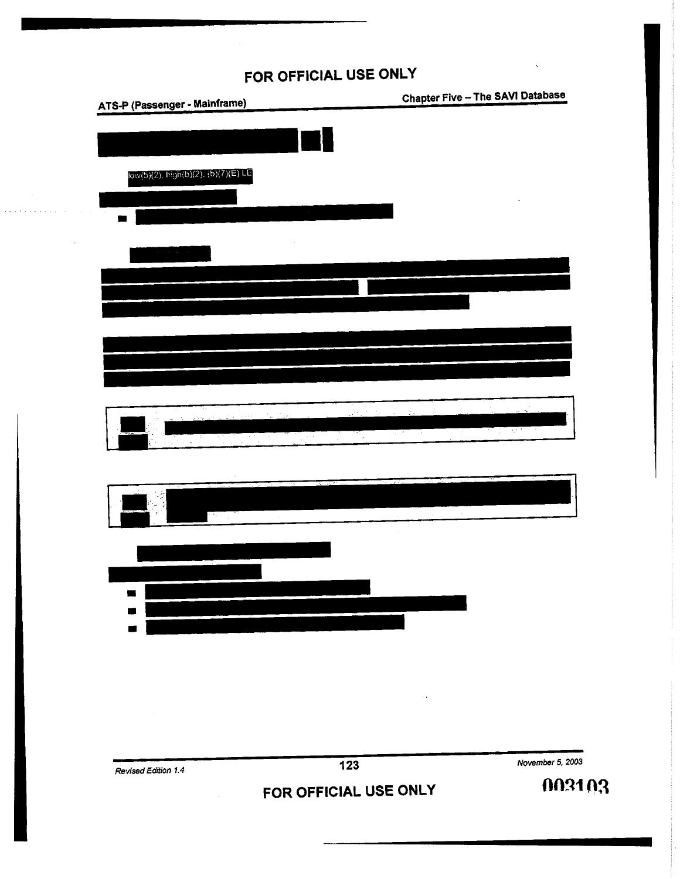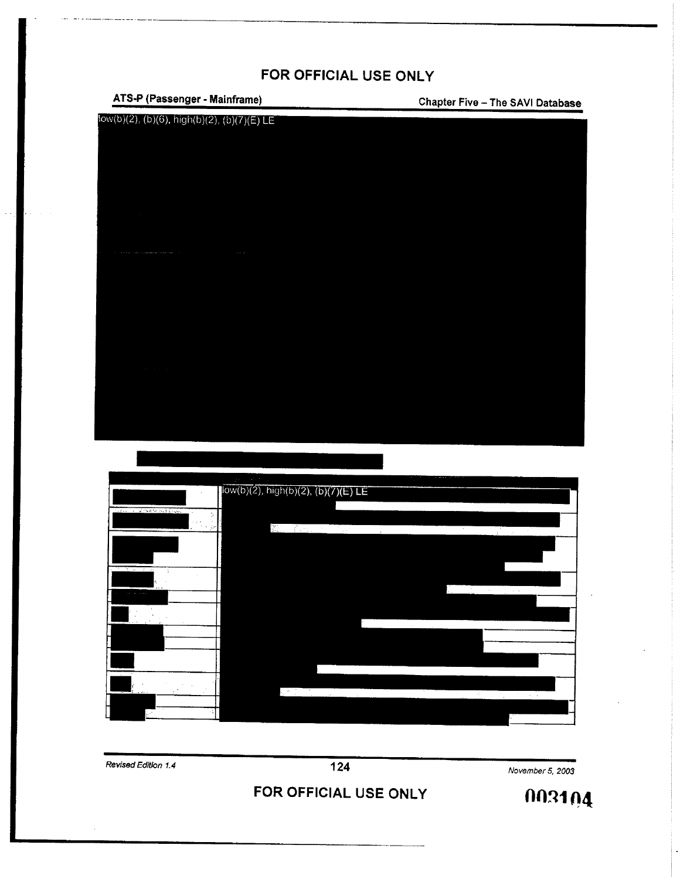

 $\text{low(b)}(2)$ , (b)(6), high(b)(2), (b)(7)(E) LE



Revised Edition 1.4

124

November 5, 2003

#### FOR OFFICIAL USE ONLY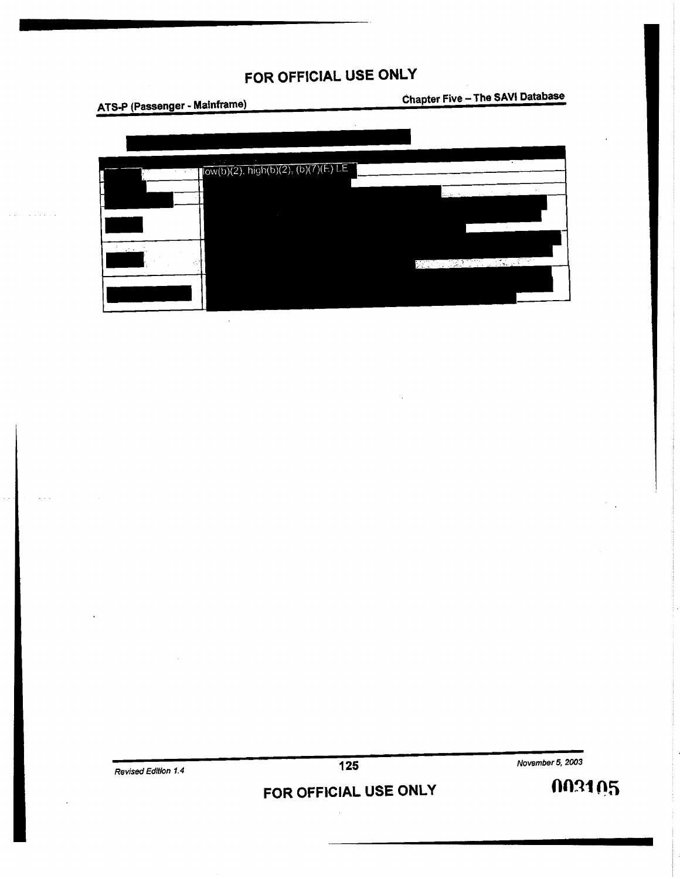ATS-P (Passenger - Mainframe)

**Chapter Five - The SAVI Database** 



Revised Edition 1.4

November 5, 2003

#### FOR OFFICIAL USE ONLY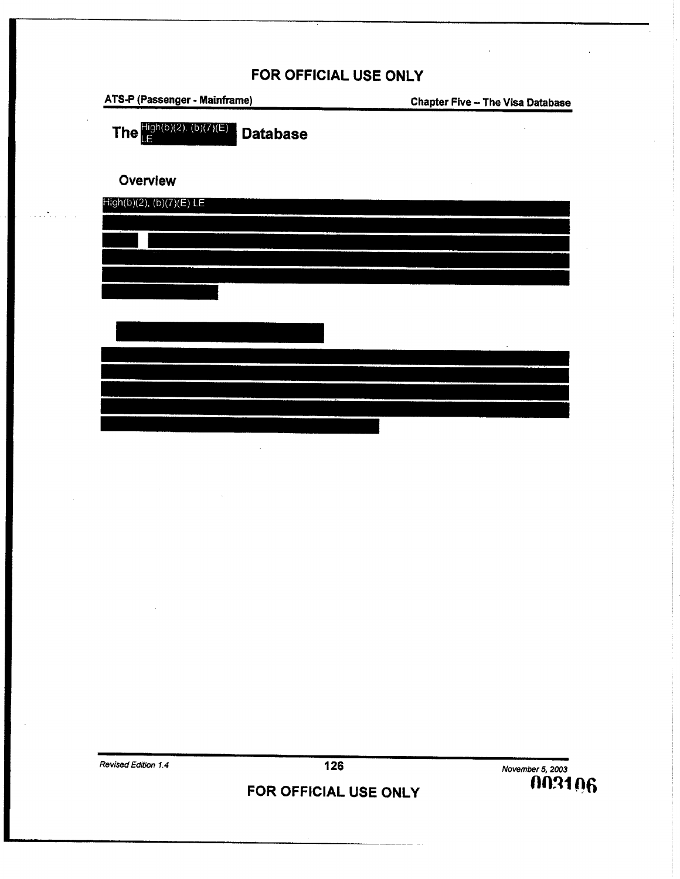

Revised Edition 1.4

126

November 5, 2003 003106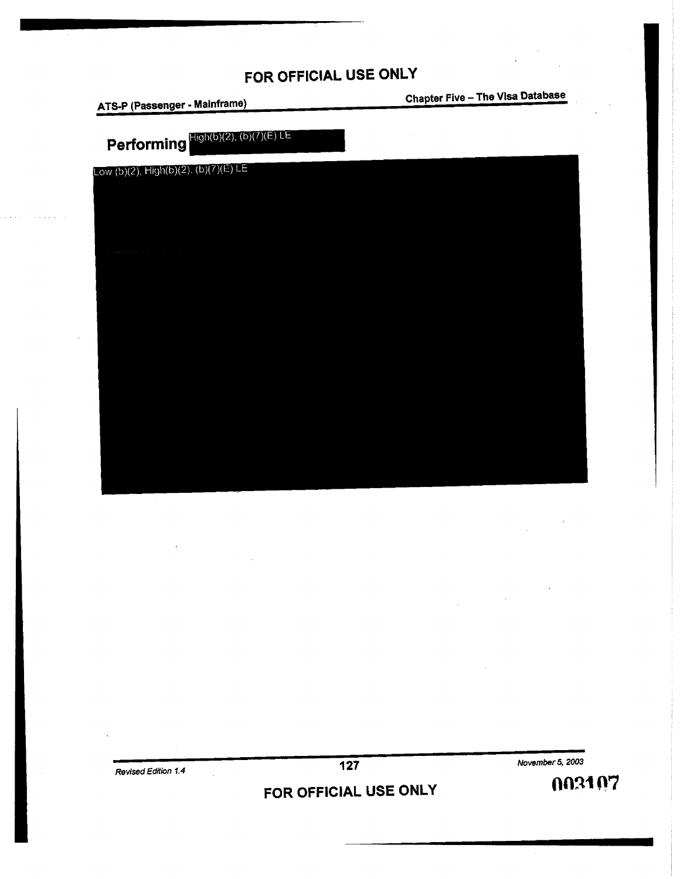ATS-P (Passenger - Mainframe)

**Chapter Five - The Visa Database** 

Performing High(b)(2), (b)(7)(E) LE Low (b)(2), High(b)(2), (b)(7)(E) LE

Revised Edition 1.4

 $\overline{127}$ 

November 5, 2003

FOR OFFICIAL USE ONLY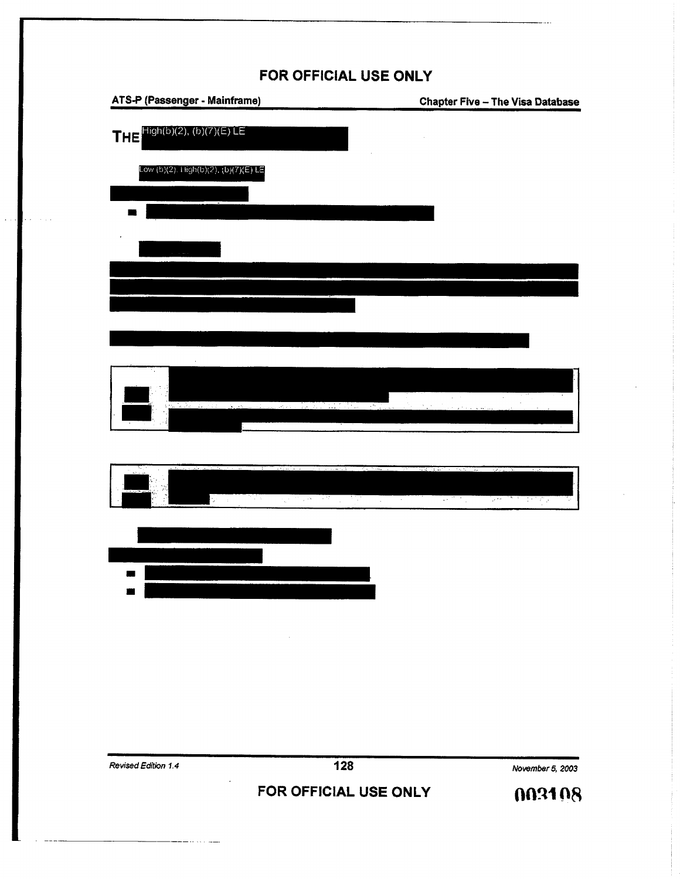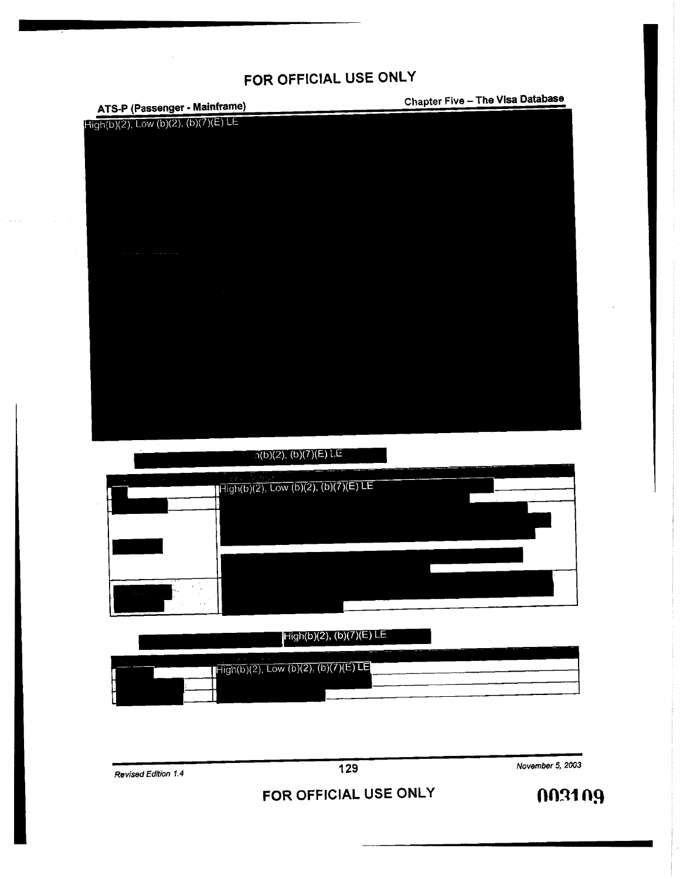Revised Edition 1.4

 $\overline{1}$  29

November 5, 2003

003109



High(b)(2), (b)(7)(E) LE



 $\pi(b)(2)$ , (b)(7)(E) LE

Chapter Five - The Visa Database ATS-P (Passenger - Mainframe)  $High(b)(2)$ , Low (b)(2), (b)(7)(E) LE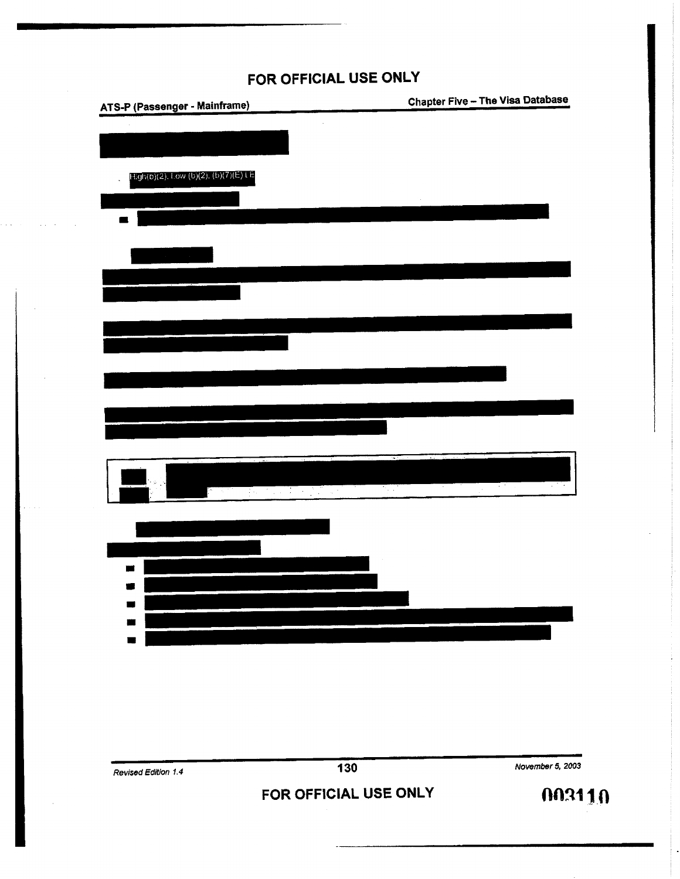| ATS-P (Passenger - Mainframe)                                                                                  |                                                                                                                                                                                                                                                                                                                                                                                                                                                                             | <b>Chapter Five - The Visa Database</b>             |
|----------------------------------------------------------------------------------------------------------------|-----------------------------------------------------------------------------------------------------------------------------------------------------------------------------------------------------------------------------------------------------------------------------------------------------------------------------------------------------------------------------------------------------------------------------------------------------------------------------|-----------------------------------------------------|
|                                                                                                                | $\mathcal{L}$                                                                                                                                                                                                                                                                                                                                                                                                                                                               |                                                     |
|                                                                                                                |                                                                                                                                                                                                                                                                                                                                                                                                                                                                             |                                                     |
| $High(b)(2)$ , Low (b)(2), (b)(7)(E) LE                                                                        |                                                                                                                                                                                                                                                                                                                                                                                                                                                                             |                                                     |
|                                                                                                                |                                                                                                                                                                                                                                                                                                                                                                                                                                                                             |                                                     |
|                                                                                                                |                                                                                                                                                                                                                                                                                                                                                                                                                                                                             |                                                     |
|                                                                                                                |                                                                                                                                                                                                                                                                                                                                                                                                                                                                             |                                                     |
| $\mathcal{L}(\mathcal{L}(\mathcal{L}))$ , $\mathcal{L}(\mathcal{L}(\mathcal{L}))$ , $\mathcal{L}(\mathcal{L})$ |                                                                                                                                                                                                                                                                                                                                                                                                                                                                             |                                                     |
|                                                                                                                |                                                                                                                                                                                                                                                                                                                                                                                                                                                                             |                                                     |
|                                                                                                                |                                                                                                                                                                                                                                                                                                                                                                                                                                                                             |                                                     |
|                                                                                                                |                                                                                                                                                                                                                                                                                                                                                                                                                                                                             |                                                     |
|                                                                                                                |                                                                                                                                                                                                                                                                                                                                                                                                                                                                             |                                                     |
|                                                                                                                |                                                                                                                                                                                                                                                                                                                                                                                                                                                                             |                                                     |
|                                                                                                                |                                                                                                                                                                                                                                                                                                                                                                                                                                                                             |                                                     |
|                                                                                                                |                                                                                                                                                                                                                                                                                                                                                                                                                                                                             |                                                     |
|                                                                                                                |                                                                                                                                                                                                                                                                                                                                                                                                                                                                             |                                                     |
| $\sim$ $\sim$                                                                                                  | $\overline{a}$ , $\overline{a}$ , $\overline{a}$ , $\overline{a}$ , $\overline{a}$ , $\overline{a}$ , $\overline{a}$ , $\overline{a}$ , $\overline{a}$ , $\overline{a}$ , $\overline{a}$ , $\overline{a}$ , $\overline{a}$ , $\overline{a}$ , $\overline{a}$ , $\overline{a}$ , $\overline{a}$ , $\overline{a}$ , $\overline{a}$ , $\overline{a}$ ,<br><u> Kanada ya Marejeo ya Marejeo ya Marejeo ya Marejeo ya Marejeo ya Marejeo ya Marejeo ya Marejeo ya Marejeo ya</u> | 79 Mayıs<br>and the<br><b>Contract</b><br>iga⊡<br>S |
|                                                                                                                |                                                                                                                                                                                                                                                                                                                                                                                                                                                                             |                                                     |
|                                                                                                                |                                                                                                                                                                                                                                                                                                                                                                                                                                                                             |                                                     |
|                                                                                                                |                                                                                                                                                                                                                                                                                                                                                                                                                                                                             |                                                     |
|                                                                                                                |                                                                                                                                                                                                                                                                                                                                                                                                                                                                             |                                                     |
|                                                                                                                |                                                                                                                                                                                                                                                                                                                                                                                                                                                                             |                                                     |
|                                                                                                                |                                                                                                                                                                                                                                                                                                                                                                                                                                                                             |                                                     |
|                                                                                                                |                                                                                                                                                                                                                                                                                                                                                                                                                                                                             |                                                     |
|                                                                                                                |                                                                                                                                                                                                                                                                                                                                                                                                                                                                             |                                                     |
|                                                                                                                |                                                                                                                                                                                                                                                                                                                                                                                                                                                                             |                                                     |
|                                                                                                                |                                                                                                                                                                                                                                                                                                                                                                                                                                                                             |                                                     |
|                                                                                                                |                                                                                                                                                                                                                                                                                                                                                                                                                                                                             |                                                     |
|                                                                                                                |                                                                                                                                                                                                                                                                                                                                                                                                                                                                             |                                                     |
| Revised Edition 1.4                                                                                            | 130                                                                                                                                                                                                                                                                                                                                                                                                                                                                         | November 5, 2003                                    |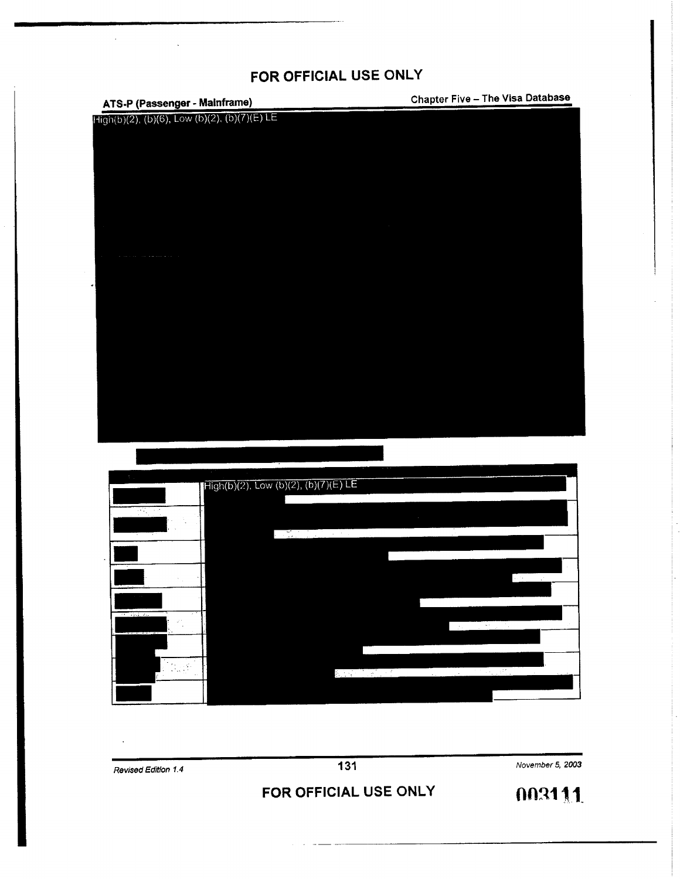



Revised Edition 1.4

131

November 5, 2003

003111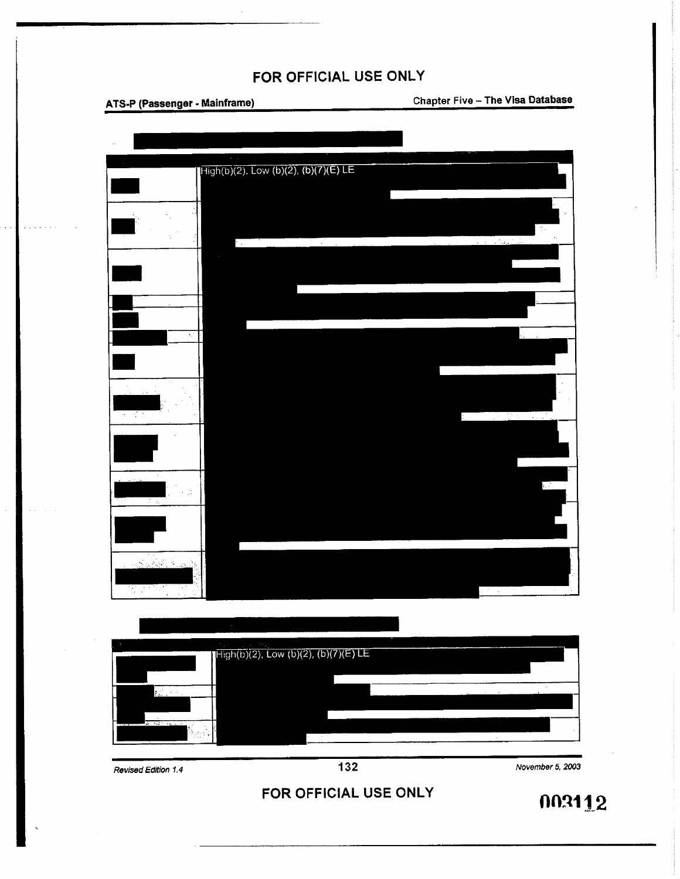ATS-P (Passenger - Mainframe)

Revised Edition 1.4

**Chapter Five - The Visa Database** 





FOR OFFICIAL USE ONLY

132

November 5, 2003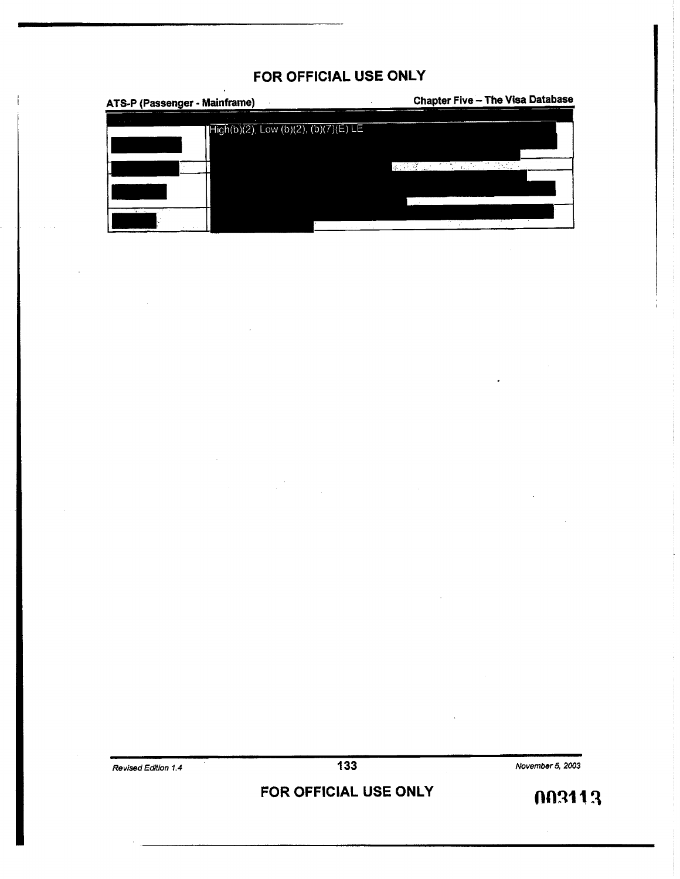

Revised Edition 1.4

November 5, 2003

FOR OFFICIAL USE ONLY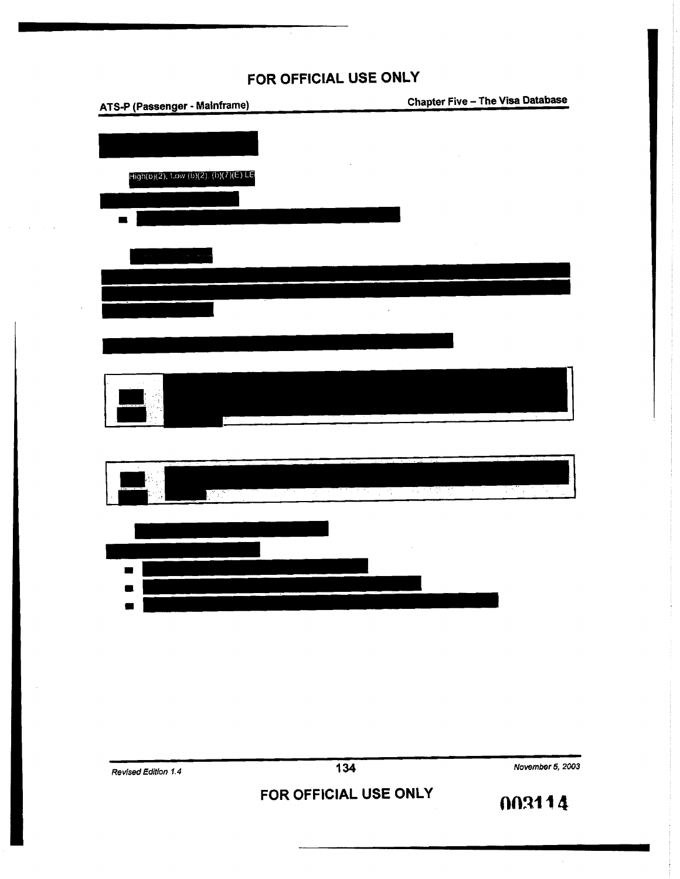# FOR OFFICIAL USE ONLY **Chapter Five - The Visa Database** ATS-P (Passenger - Mainframe)  $\overline{\mathsf{High}(\mathsf{b})(2)}$ , Low (b)(2). (b)(7)(E) LE

#### FOR OFFICIAL USE ONLY

 $134$ 

## 003114

November 5, 2003

Revised Edition 1.4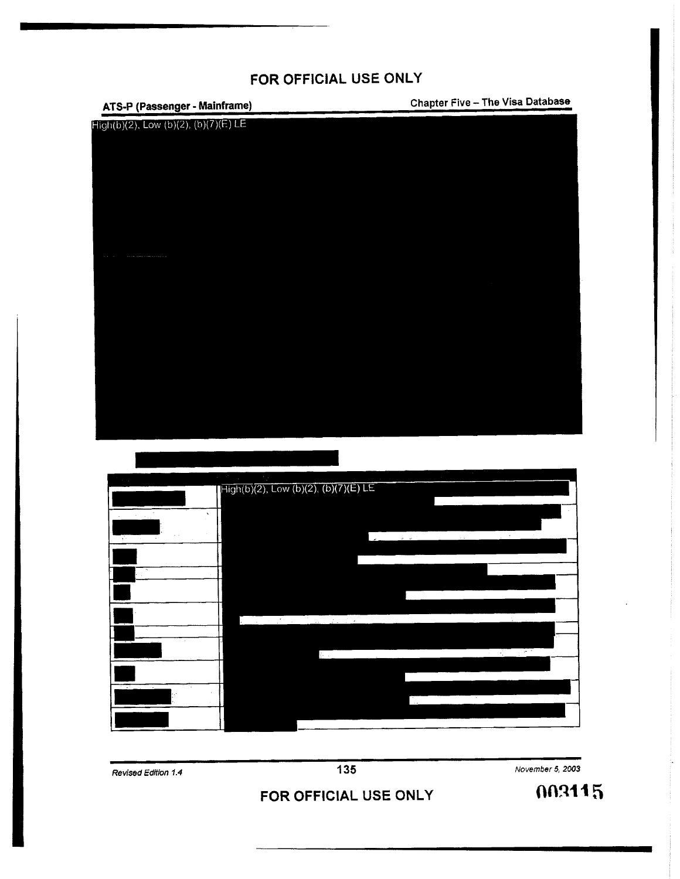



Revised Edition 1.4

 $\overline{135}$ 

FOR OFFICIAL USE ONLY

November 5, 2003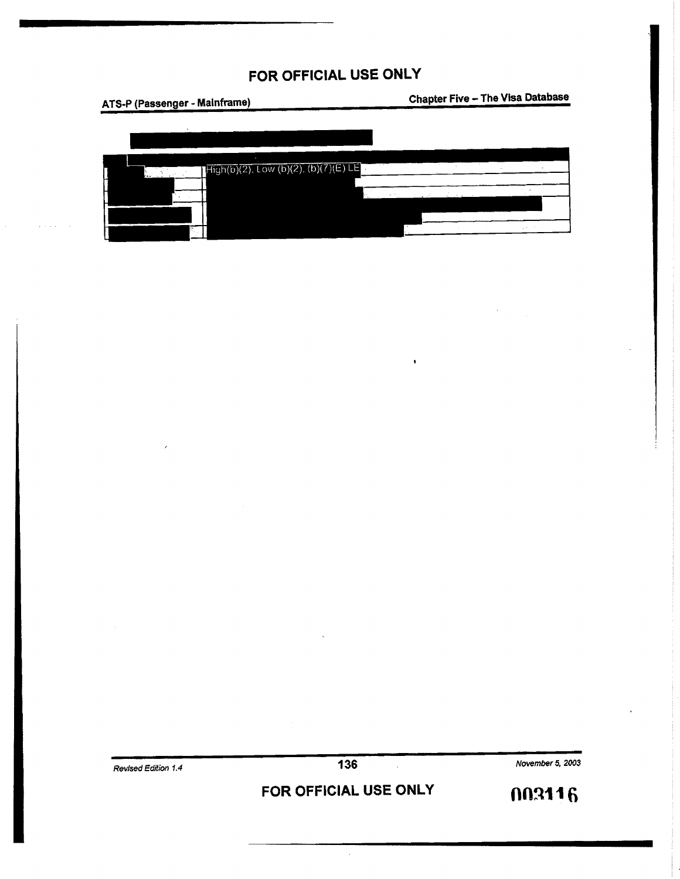ATS-P (Passenger - Mainframe)

**Chapter Five - The Visa Database** 



 $\pmb{\mathsf{1}}$ 

Revised Edition 1.4

 $\overline{136}$ 

November 5, 2003

#### FOR OFFICIAL USE ONLY

 $\bar{z}$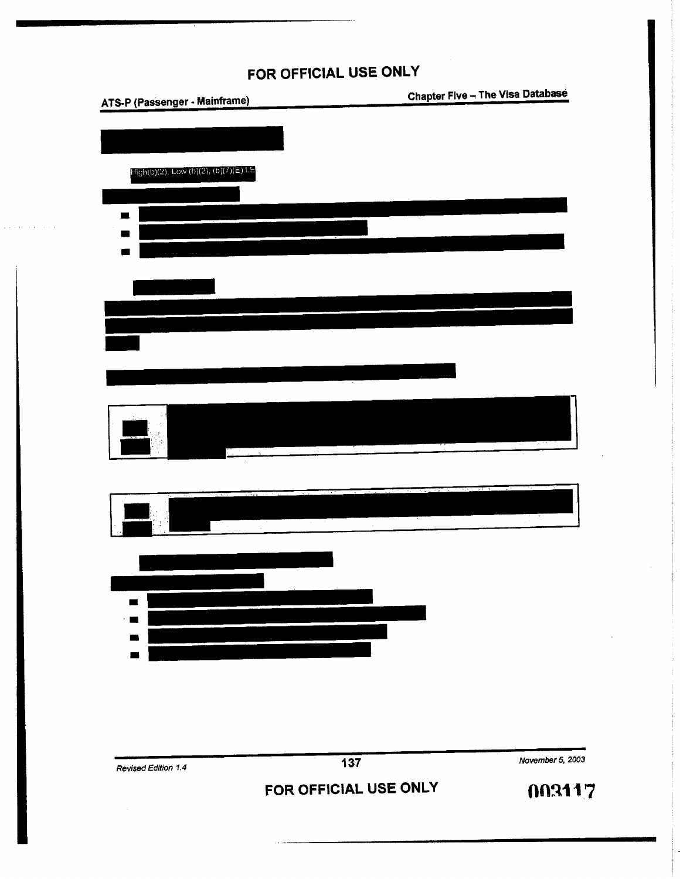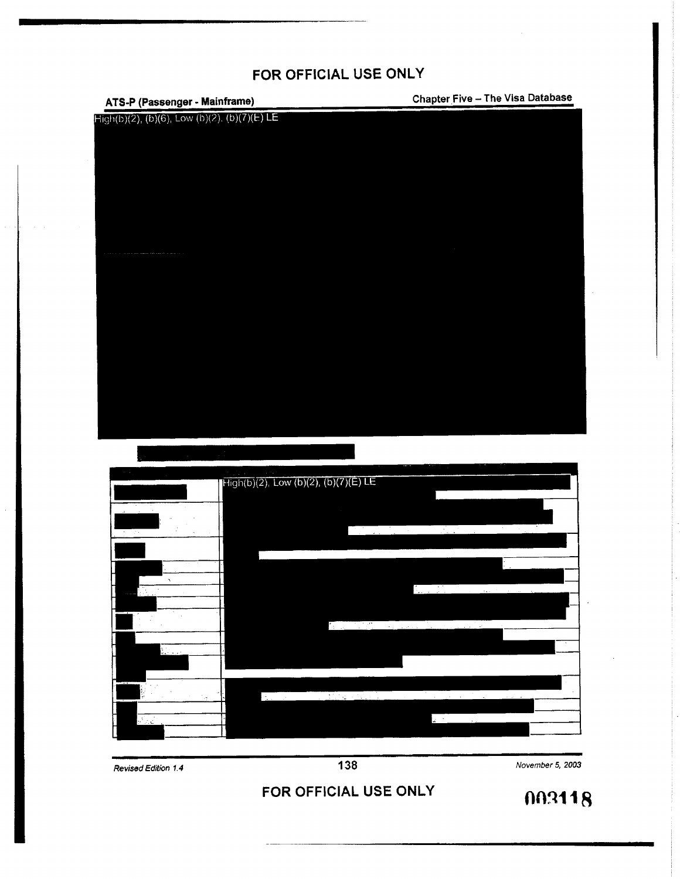

| -------<br>---------------- | ---------<br>___________ |  |  |
|-----------------------------|--------------------------|--|--|
|                             |                          |  |  |
|                             |                          |  |  |
|                             |                          |  |  |

Revised Edition 1.4



FOR OFFICIAL USE ONLY

138

003118

November 5, 2003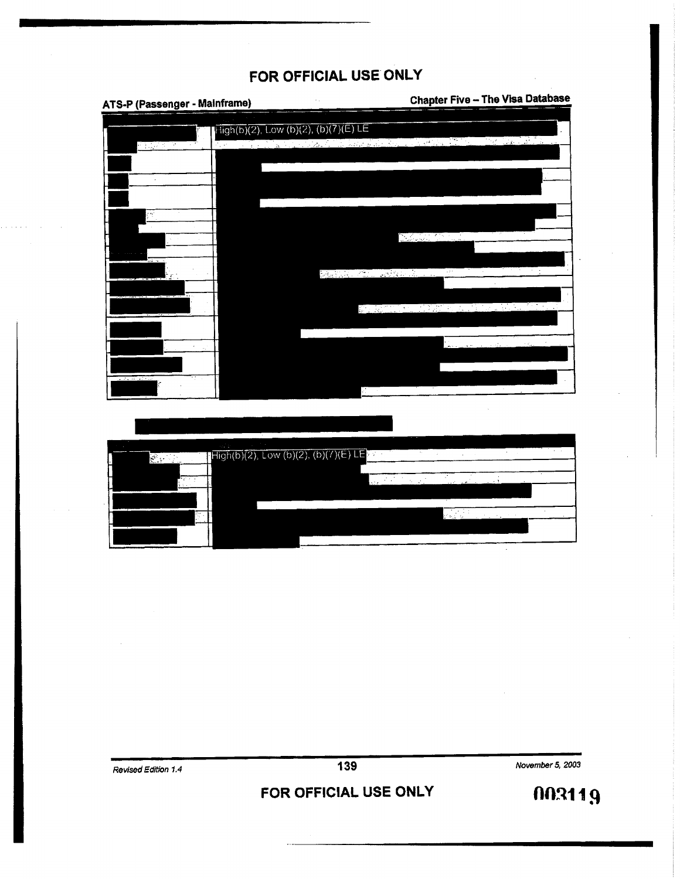

Revised Edition 1.4

139

November 5, 2003

#### FOR OFFICIAL USE ONLY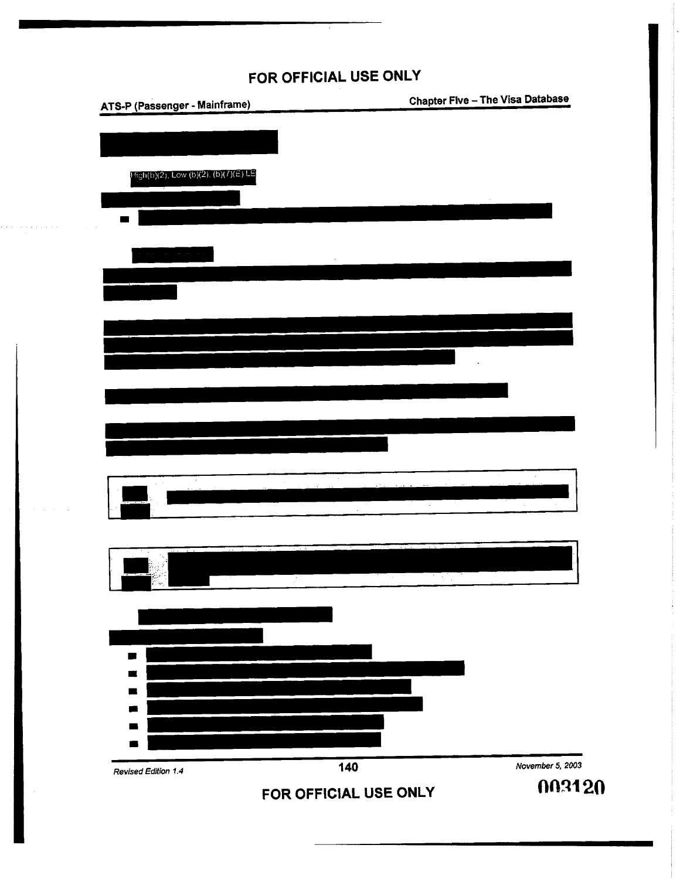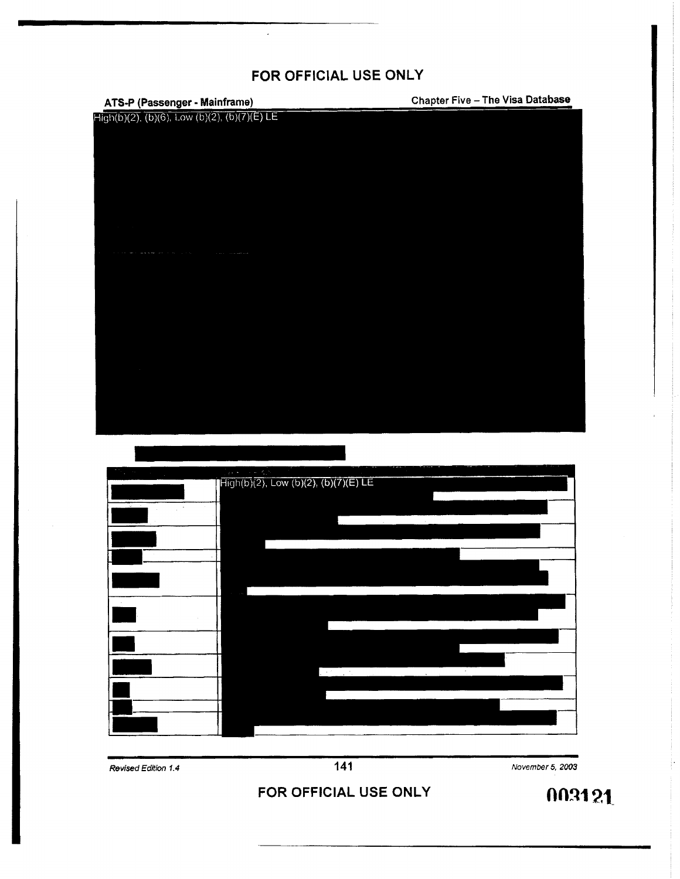$\bar{\mathcal{A}}$ 





141

FOR OFFICIAL USE ONLY

Revised Edition 1.4

003121

November 5, 2003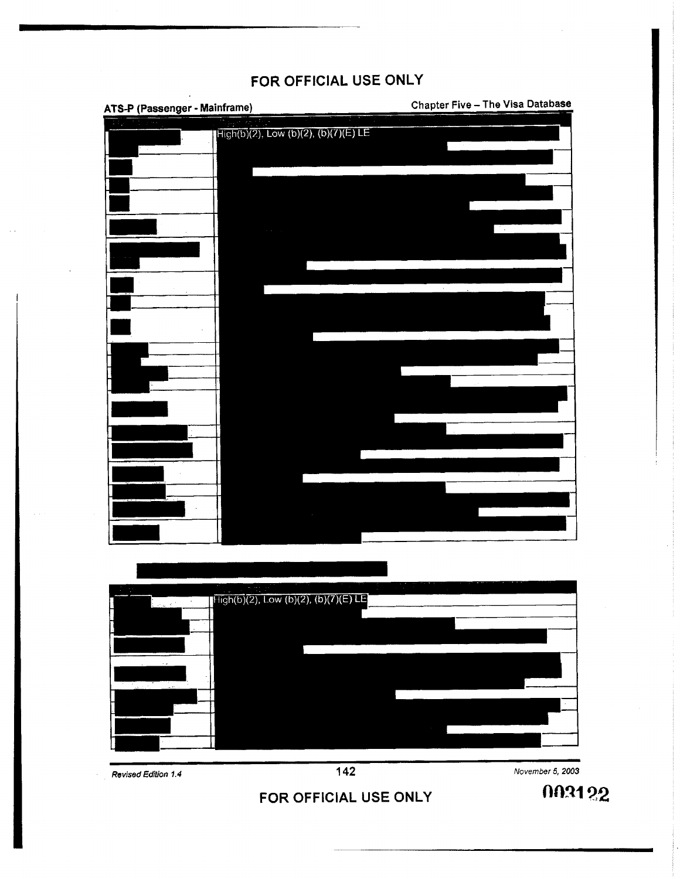



FOR OFFICIAL USE ONLY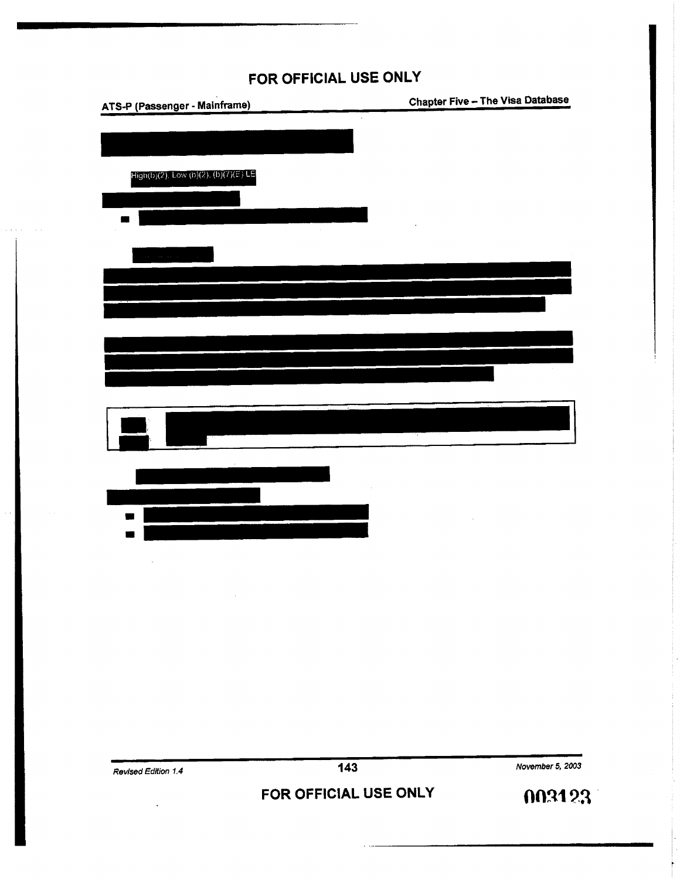| ATS-P (Passenger - Mainframe)                                                                                                                                                                                                                                                                                                | <b>Chapter Five - The Visa Database</b> |
|------------------------------------------------------------------------------------------------------------------------------------------------------------------------------------------------------------------------------------------------------------------------------------------------------------------------------|-----------------------------------------|
|                                                                                                                                                                                                                                                                                                                              | $\overline{\phantom{a}}$                |
|                                                                                                                                                                                                                                                                                                                              |                                         |
|                                                                                                                                                                                                                                                                                                                              |                                         |
| High(b)(2), Low (b)(2), (b)(7)(E) LE                                                                                                                                                                                                                                                                                         |                                         |
|                                                                                                                                                                                                                                                                                                                              |                                         |
| т                                                                                                                                                                                                                                                                                                                            |                                         |
|                                                                                                                                                                                                                                                                                                                              |                                         |
| $\label{eq:3.1} \left(\frac{1}{2} \left( \frac{1}{2} \right) \left( \frac{1}{2} \left( \frac{1}{2} \right) \right) \left( \frac{1}{2} \left( \frac{1}{2} \right) \right) \right) = \left( \frac{1}{2} \left( \frac{1}{2} \right) \left( \frac{1}{2} \right) \right) = \left( \frac{1}{2} \left( \frac{1}{2} \right) \right)$ |                                         |
|                                                                                                                                                                                                                                                                                                                              |                                         |
|                                                                                                                                                                                                                                                                                                                              |                                         |
|                                                                                                                                                                                                                                                                                                                              |                                         |
|                                                                                                                                                                                                                                                                                                                              |                                         |
|                                                                                                                                                                                                                                                                                                                              |                                         |
|                                                                                                                                                                                                                                                                                                                              |                                         |
|                                                                                                                                                                                                                                                                                                                              |                                         |
|                                                                                                                                                                                                                                                                                                                              |                                         |
|                                                                                                                                                                                                                                                                                                                              |                                         |
|                                                                                                                                                                                                                                                                                                                              |                                         |
|                                                                                                                                                                                                                                                                                                                              |                                         |
|                                                                                                                                                                                                                                                                                                                              |                                         |
|                                                                                                                                                                                                                                                                                                                              |                                         |
|                                                                                                                                                                                                                                                                                                                              |                                         |
|                                                                                                                                                                                                                                                                                                                              |                                         |
|                                                                                                                                                                                                                                                                                                                              |                                         |
|                                                                                                                                                                                                                                                                                                                              |                                         |
|                                                                                                                                                                                                                                                                                                                              |                                         |
|                                                                                                                                                                                                                                                                                                                              |                                         |

Revised Edition 1.4

 $\ddot{\phantom{a}}$ 

and a stringer

November 5, 2003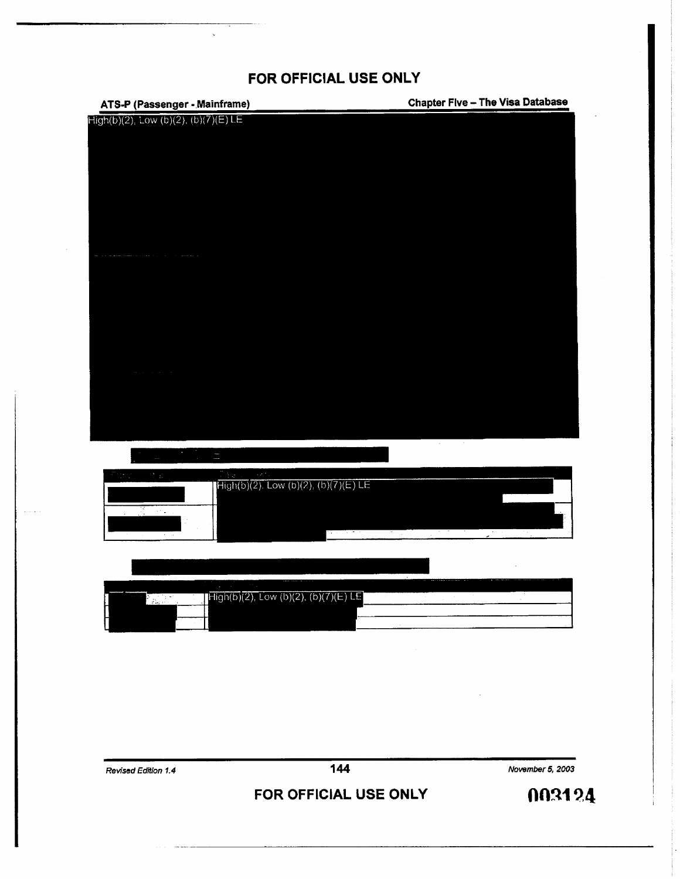k.

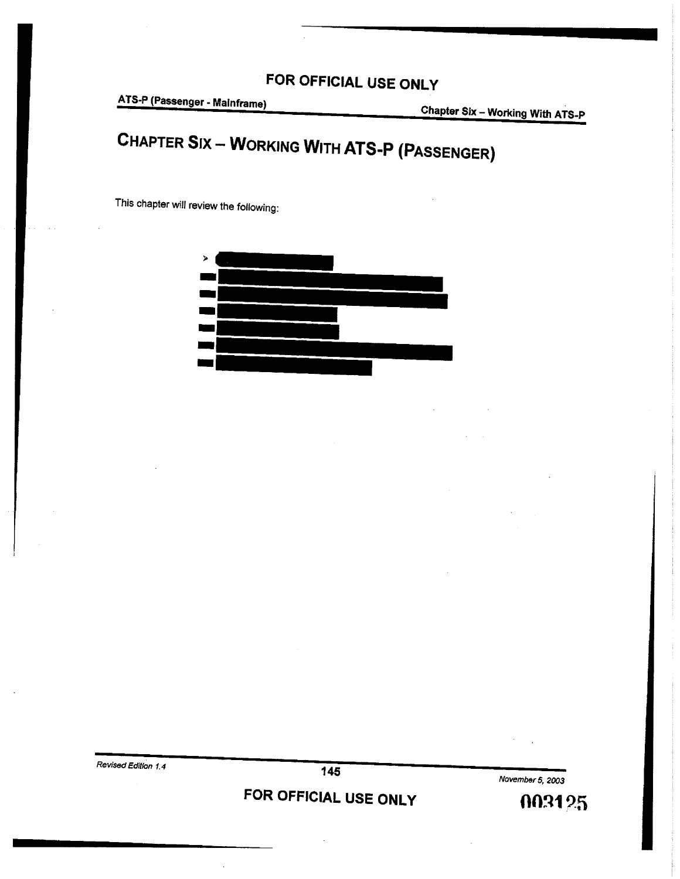ATS-P (Passenger - Mainframe)

Chapter Six - Working With ATS-P

# **CHAPTER SIX - WORKING WITH ATS-P (PASSENGER)**

This chapter will review the following:



Revised Edition 1.4

 $145$ 

November 5, 2003

#### FOR OFFICIAL USE ONLY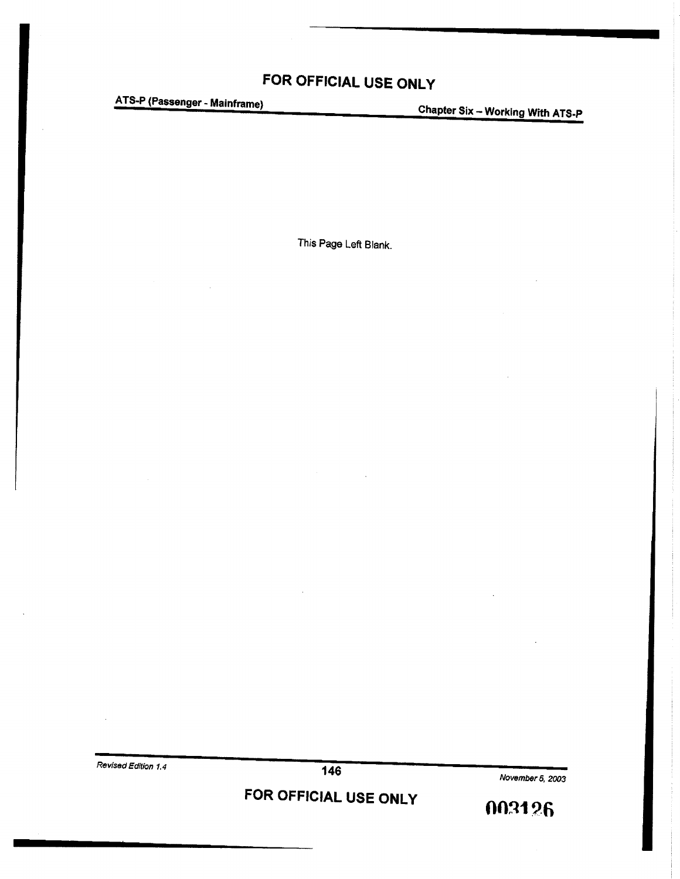ATS-P (Passenger - Mainframe)

Chapter Six - Working With ATS-P

This Page Left Blank.

Revised Edition 1.4

 $146$ 

November 5, 2003

FOR OFFICIAL USE ONLY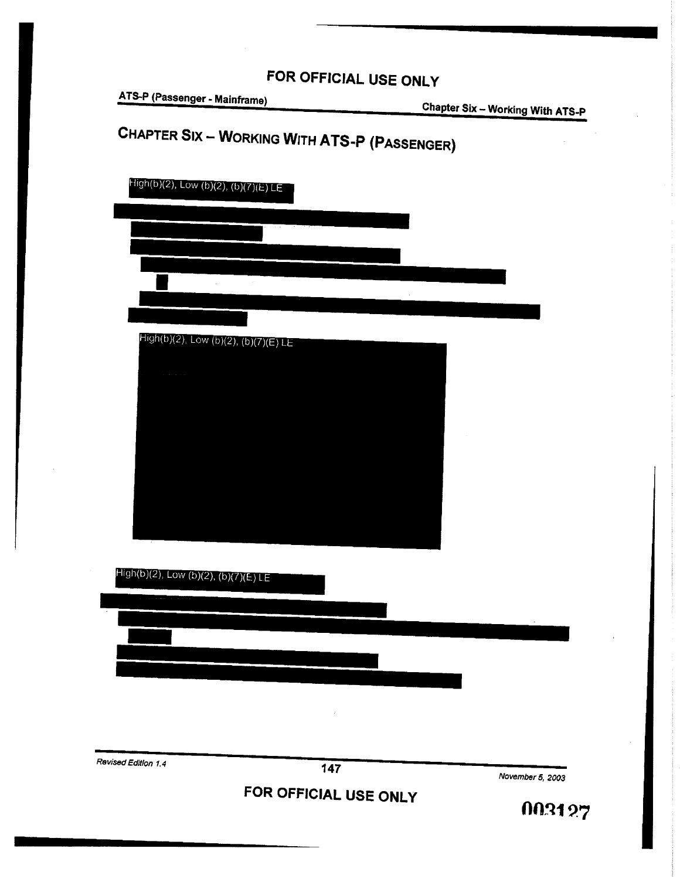ATS-P (Passenger - Mainframe)

**Chapter Six - Working With ATS-P** 

## **CHAPTER SIX - WORKING WITH ATS-P (PASSENGER)**